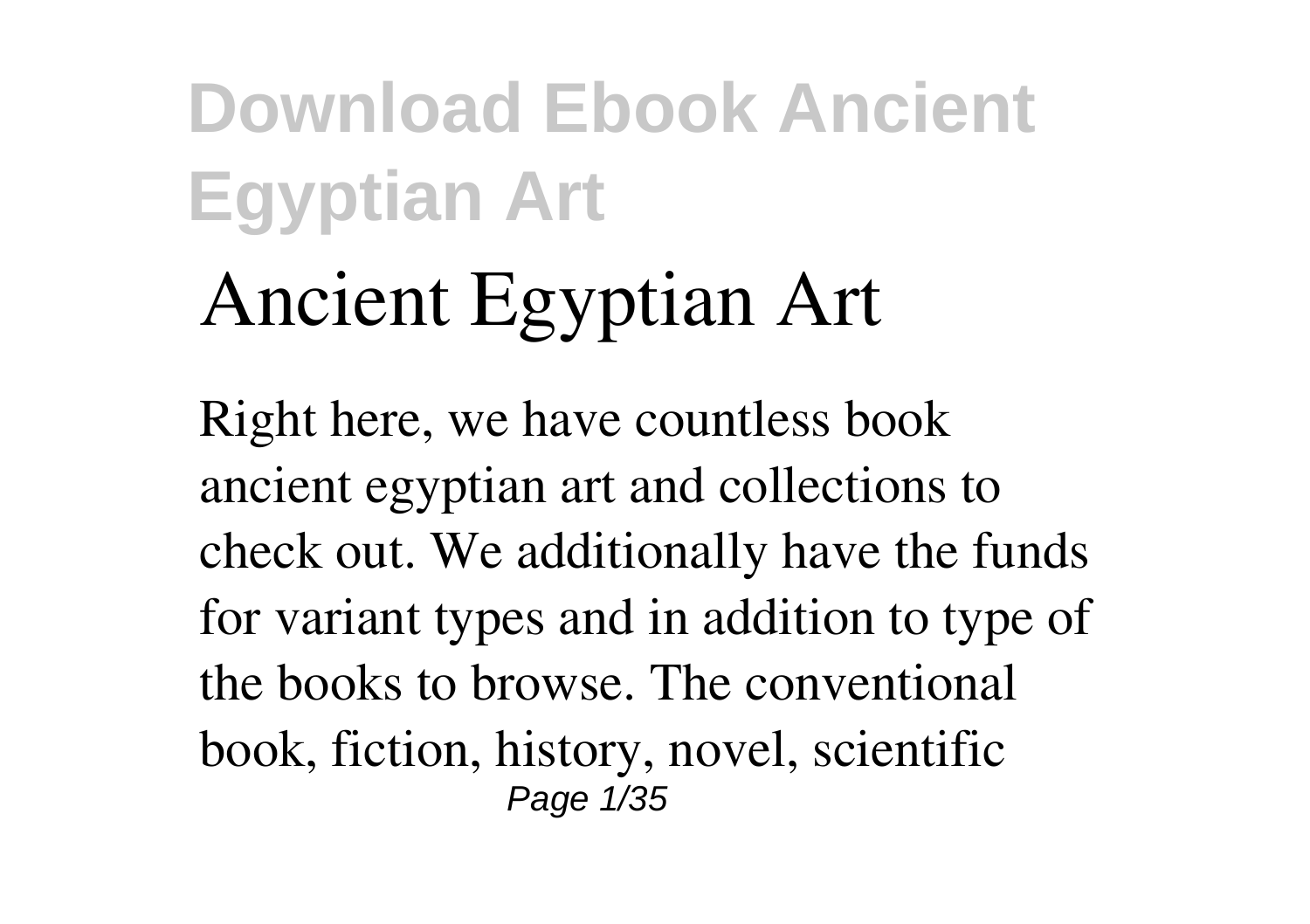# **Ancient Egyptian Art**

Right here, we have countless book **ancient egyptian art** and collections to check out. We additionally have the funds for variant types and in addition to type of the books to browse. The conventional book, fiction, history, novel, scientific Page 1/35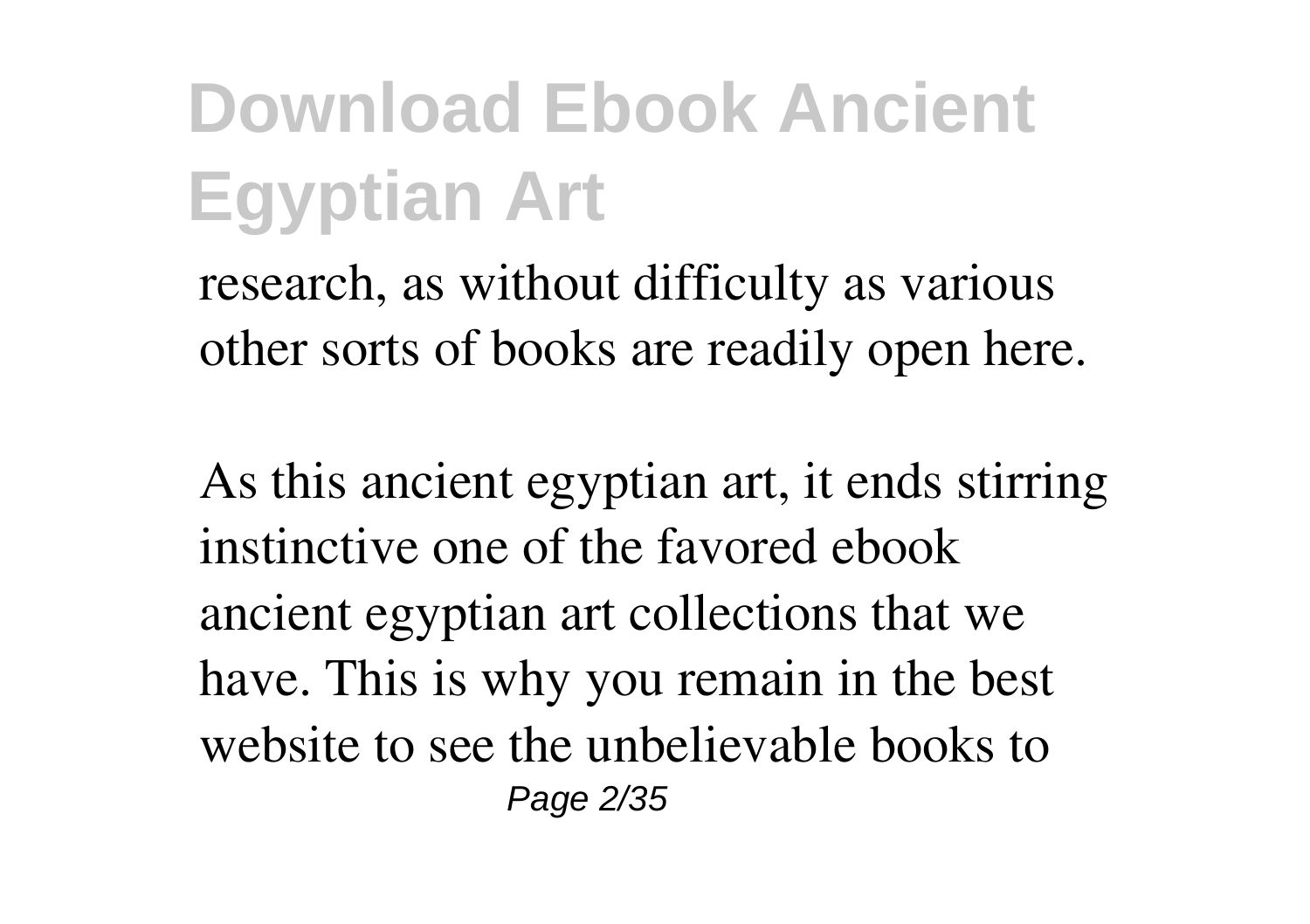research, as without difficulty as various other sorts of books are readily open here.

As this ancient egyptian art, it ends stirring instinctive one of the favored ebook ancient egyptian art collections that we have. This is why you remain in the best website to see the unbelievable books to Page 2/35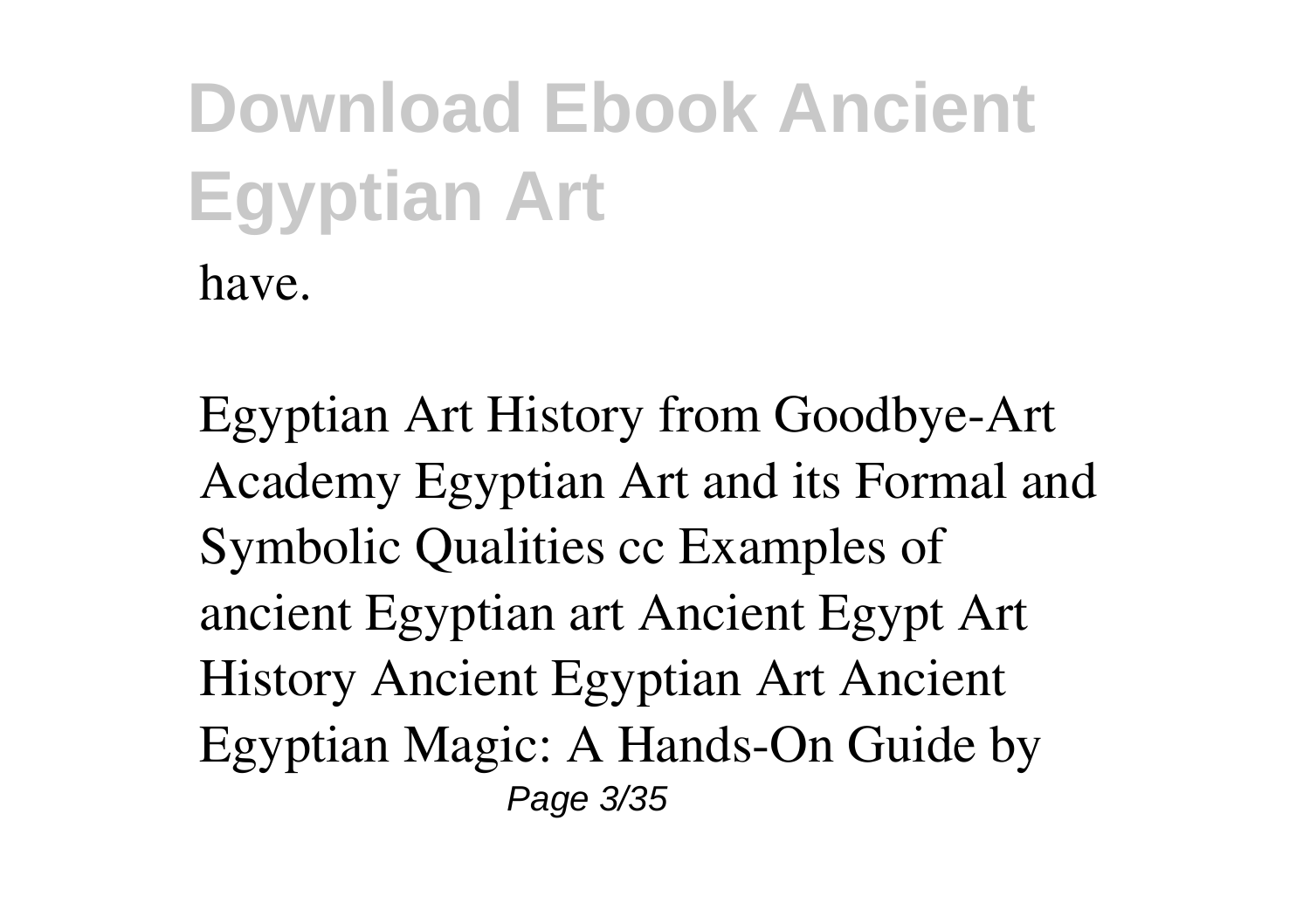*Egyptian Art History from Goodbye-Art Academy* **Egyptian Art and its Formal and Symbolic Qualities cc Examples of ancient Egyptian art** Ancient Egypt Art History *Ancient Egyptian Art Ancient Egyptian Magic: A Hands-On Guide by* Page 3/35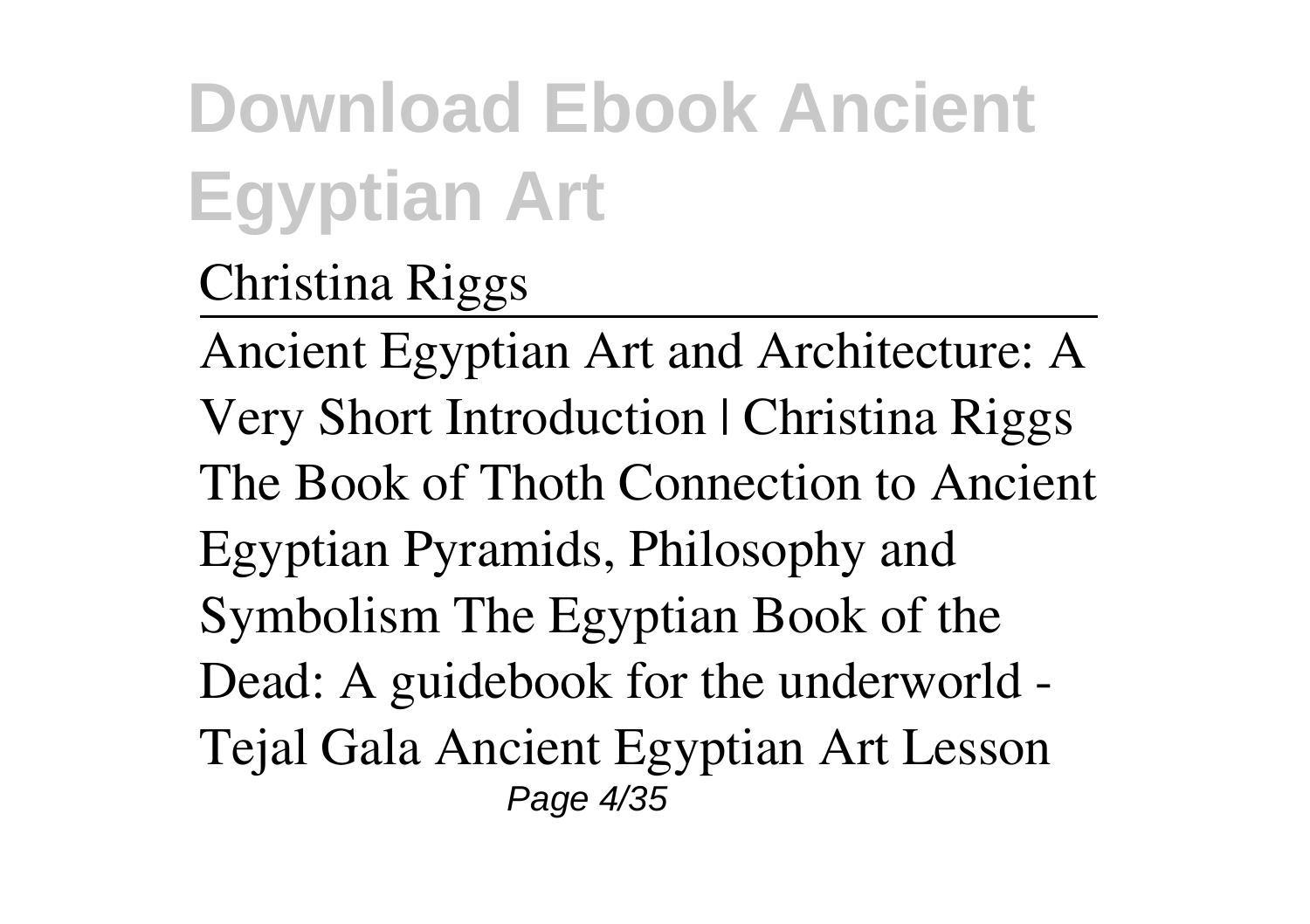#### *Christina Riggs*

Ancient Egyptian Art and Architecture: A Very Short Introduction | Christina Riggs The Book of Thoth Connection to Ancient Egyptian Pyramids, Philosophy and Symbolism The Egyptian Book of the Dead: A guidebook for the underworld - Tejal Gala Ancient Egyptian Art Lesson Page 4/35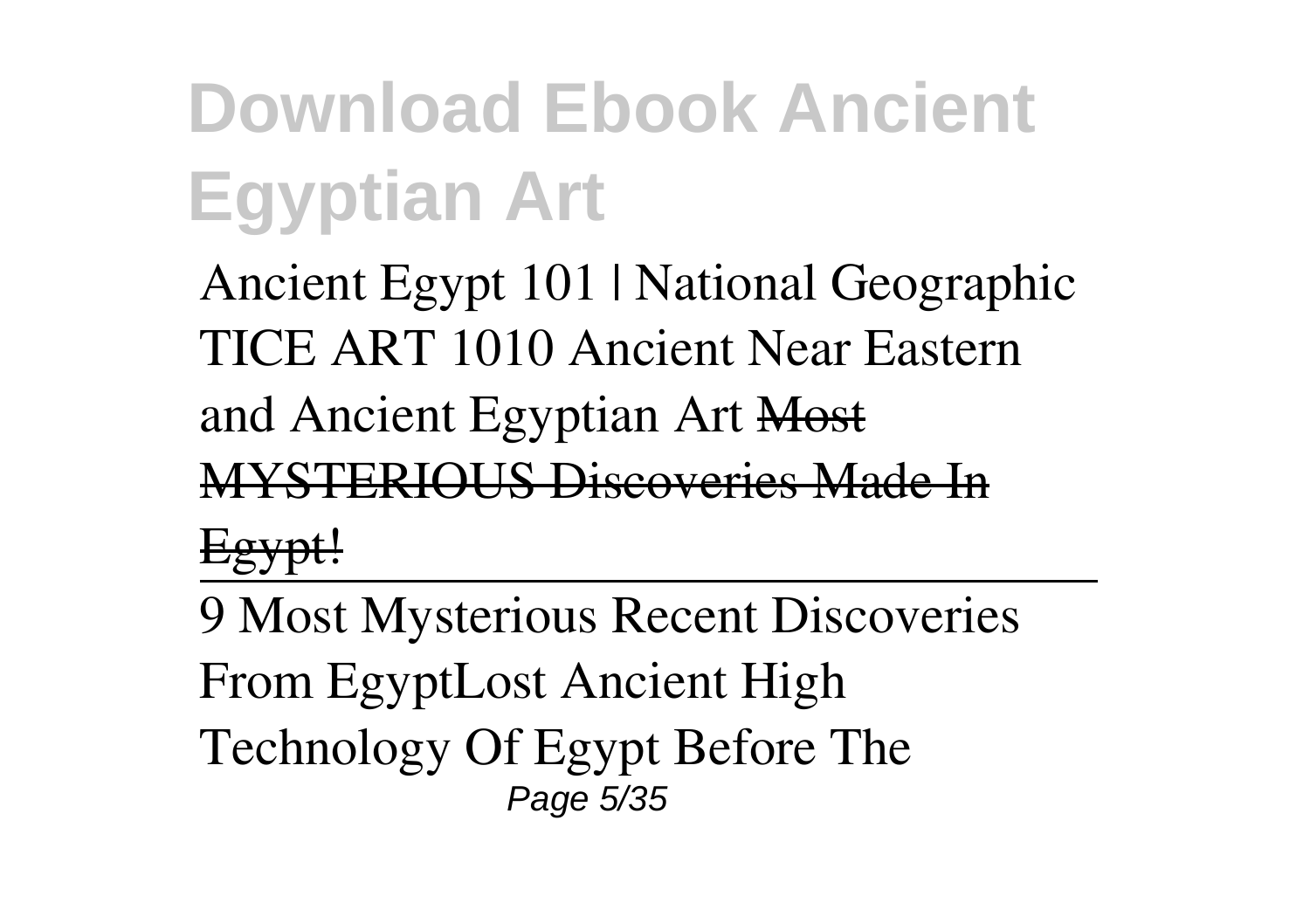*Ancient Egypt 101 | National Geographic TICE ART 1010 Ancient Near Eastern and Ancient Egyptian Art* Most **STERIOUS Discoveries Ma** 

Egypt!

9 Most Mysterious Recent Discoveries From Egypt*Lost Ancient High Technology Of Egypt Before The* Page 5/35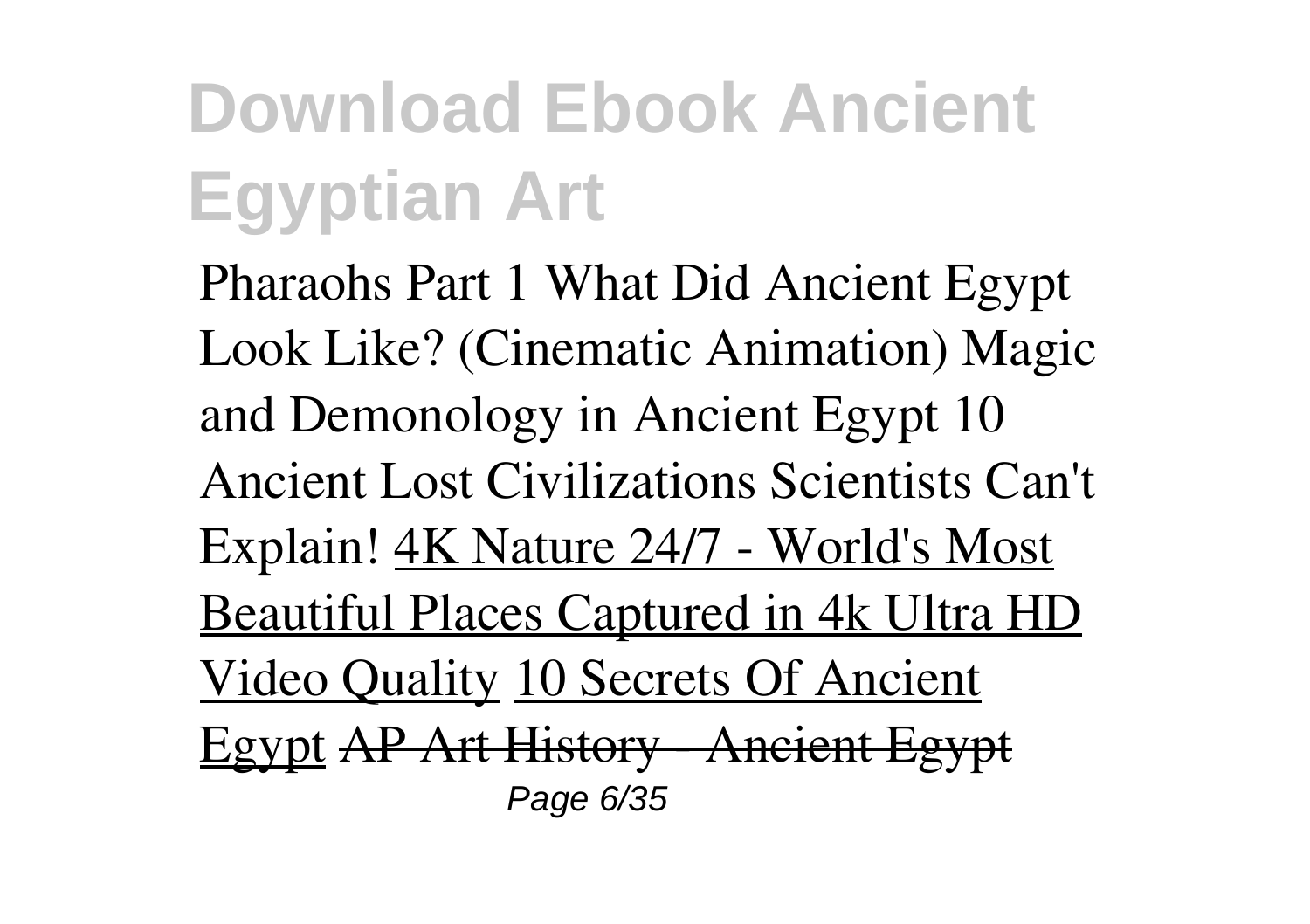*Pharaohs Part 1 What Did Ancient Egypt Look Like? (Cinematic Animation)* **Magic and Demonology in Ancient Egypt** 10 Ancient Lost Civilizations Scientists Can't Explain! 4K Nature 24/7 - World's Most Beautiful Places Captured in 4k Ultra HD Video Quality 10 Secrets Of Ancient Egypt AP Art History - Ancient Egypt Page 6/35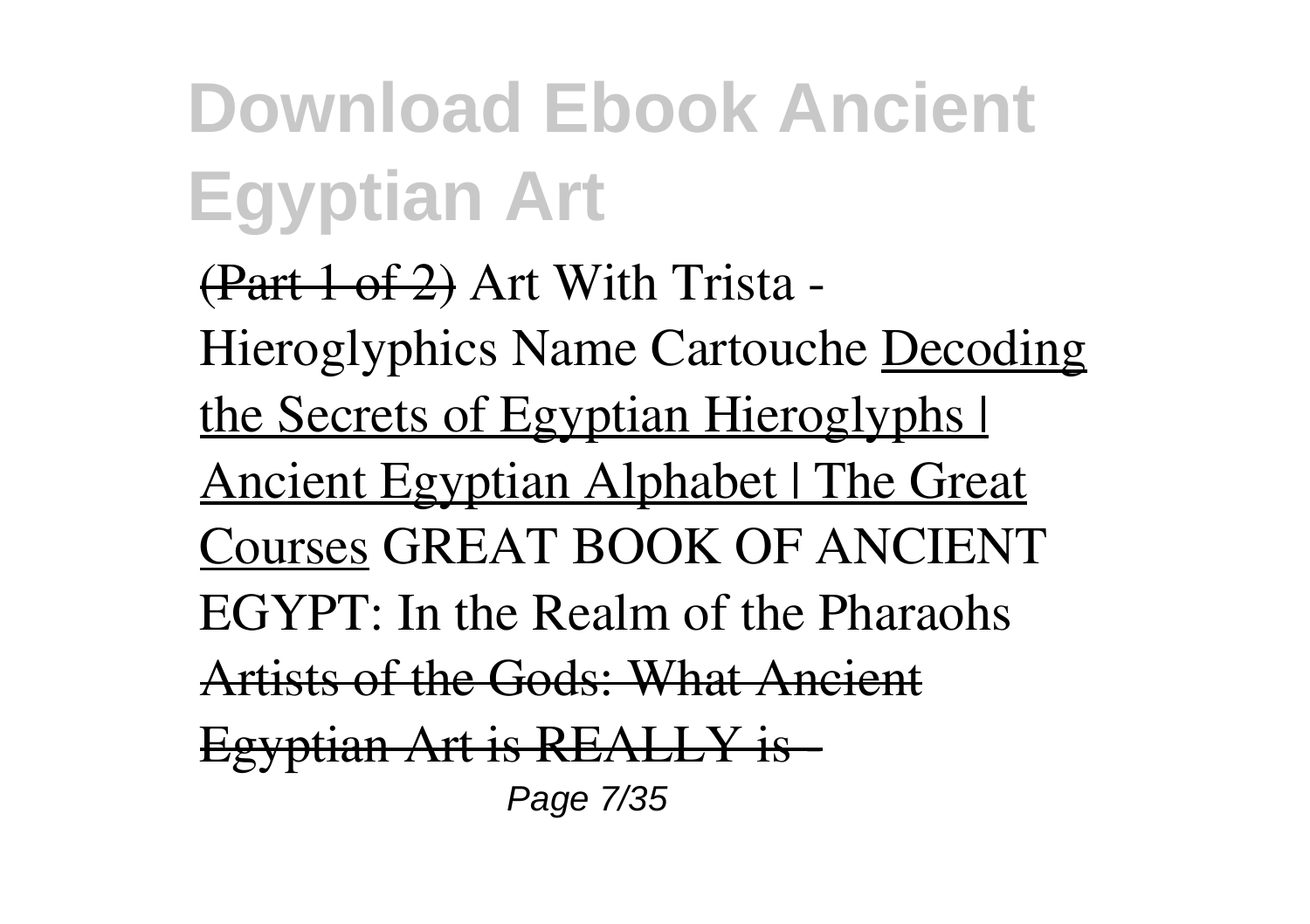(Part 1 of 2) Art With Trista - Hieroglyphics Name Cartouche Decoding the Secrets of Egyptian Hieroglyphs | Ancient Egyptian Alphabet | The Great Courses **GREAT BOOK OF ANCIENT EGYPT: In the Realm of the Pharaohs**  $A$ rtists of the Gods: What  $An$ Egyptian Art is REALLY is - Page 7/35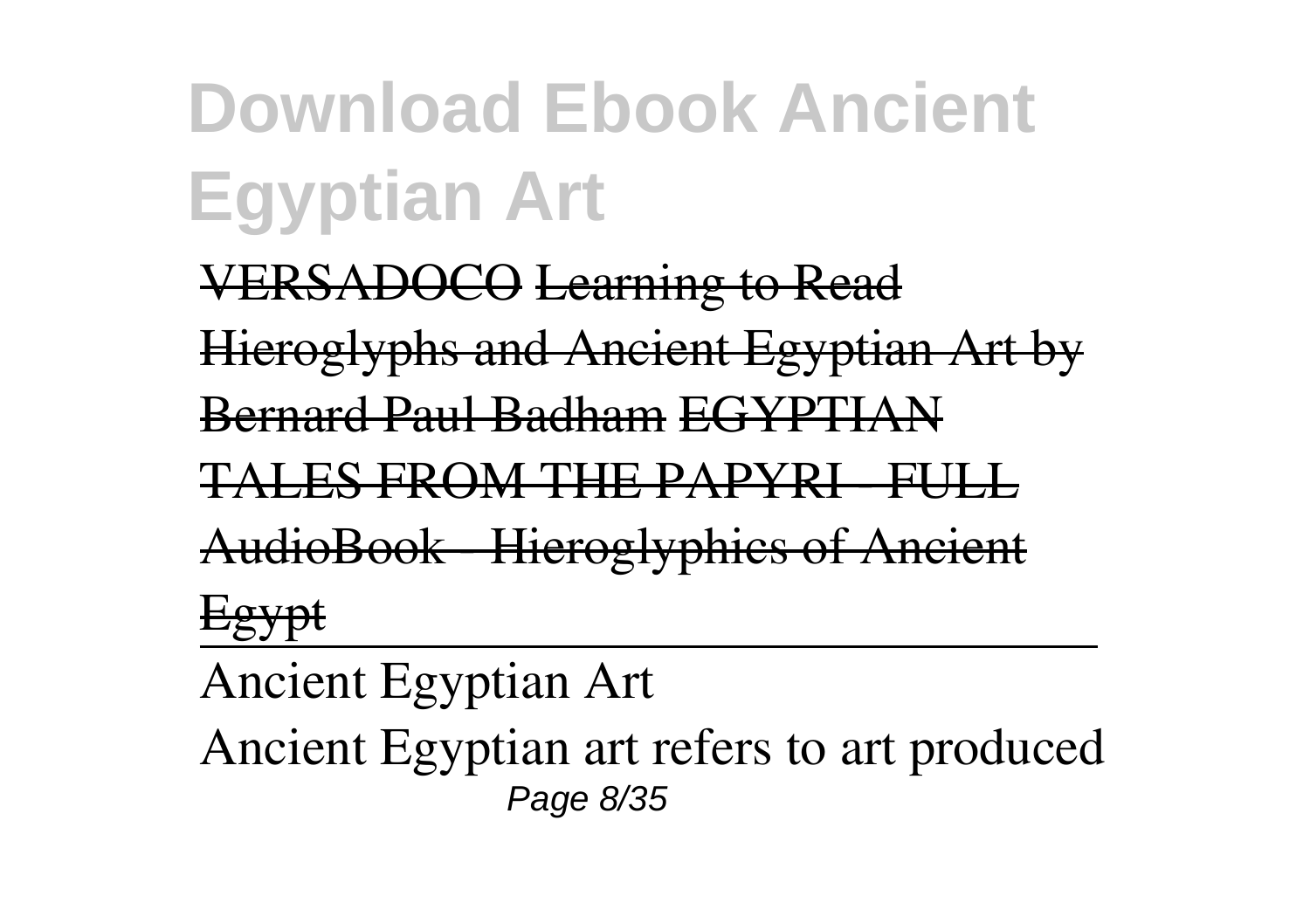VERSADOCO Learning to Read

Hieroglyphs and Ancient Egyptian Art by

Bernard Paul Badham EGYPTI

I ES EDOM THE DADY

AudioBook - Hieroglyphics of Ancient

Egypt

Ancient Egyptian Art Ancient Egyptian art refers to art produced Page 8/35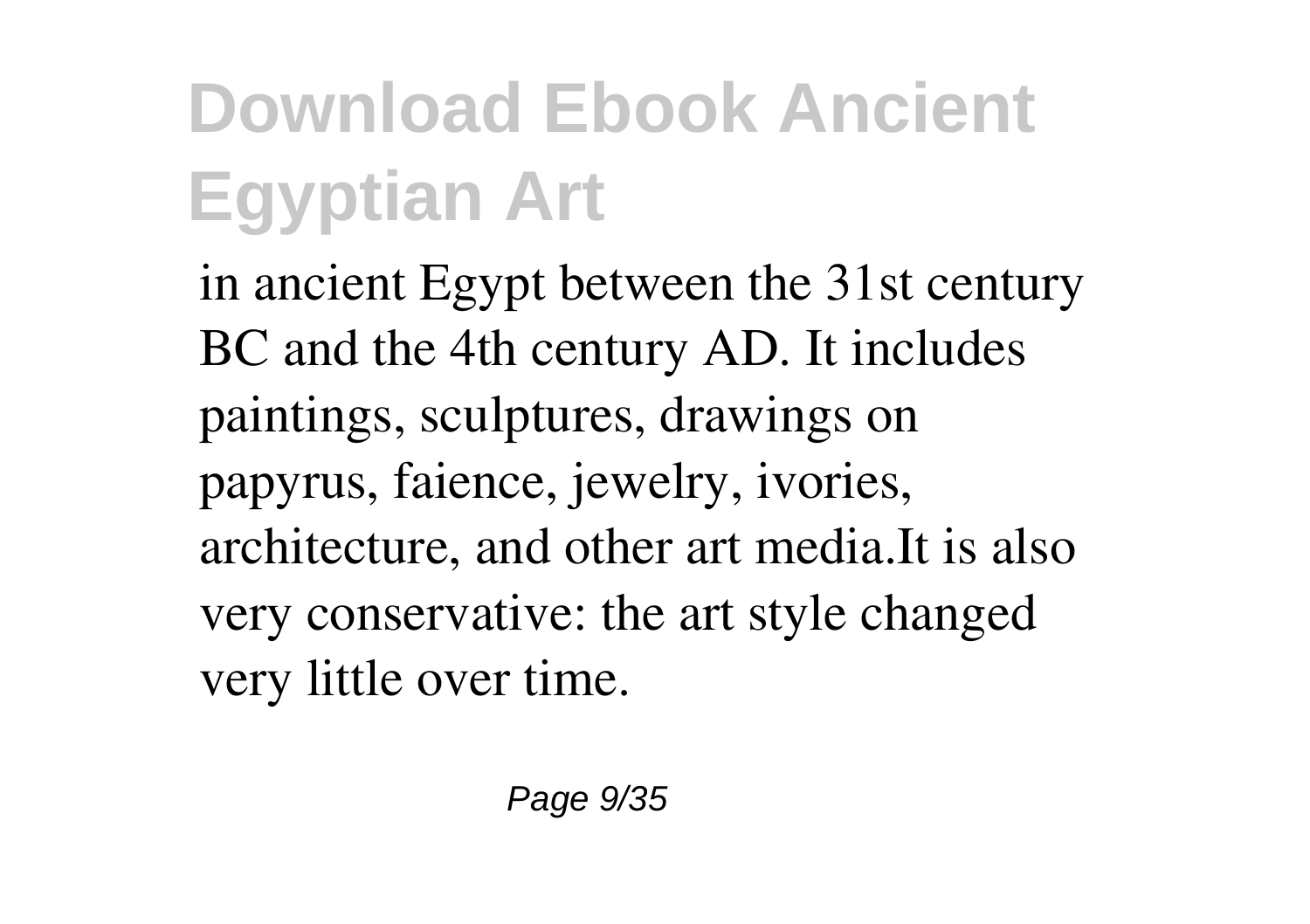in ancient Egypt between the 31st century BC and the 4th century AD. It includes paintings, sculptures, drawings on papyrus, faience, jewelry, ivories, architecture, and other art media.It is also very conservative: the art style changed very little over time.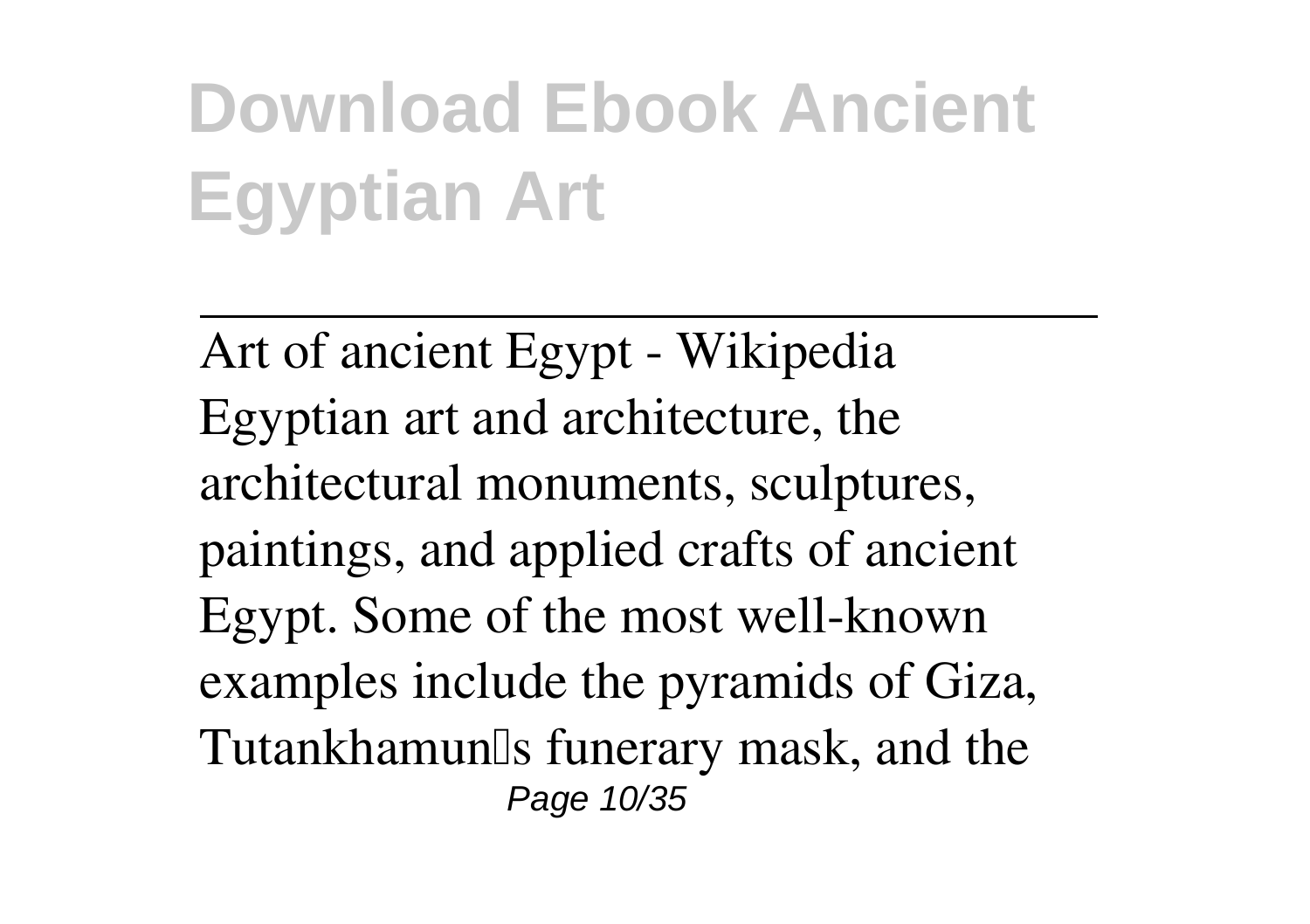Art of ancient Egypt - Wikipedia Egyptian art and architecture, the architectural monuments, sculptures, paintings, and applied crafts of ancient Egypt. Some of the most well-known examples include the pyramids of Giza, Tutankhamun<sup>[]</sup>s funerary mask, and the Page 10/35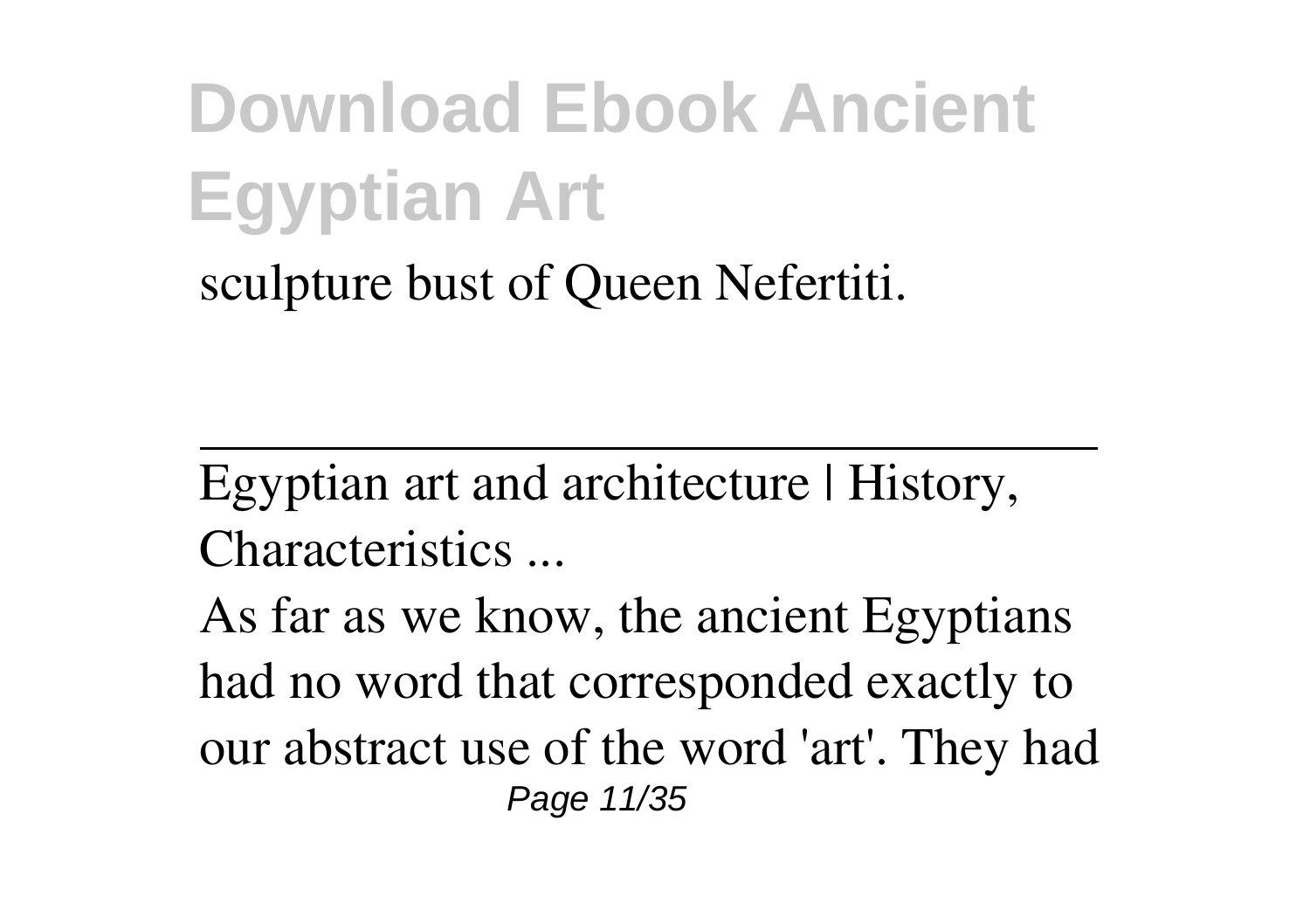sculpture bust of Queen Nefertiti.

Egyptian art and architecture | History, Characteristics ...

As far as we know, the ancient Egyptians had no word that corresponded exactly to our abstract use of the word 'art'. They had Page 11/35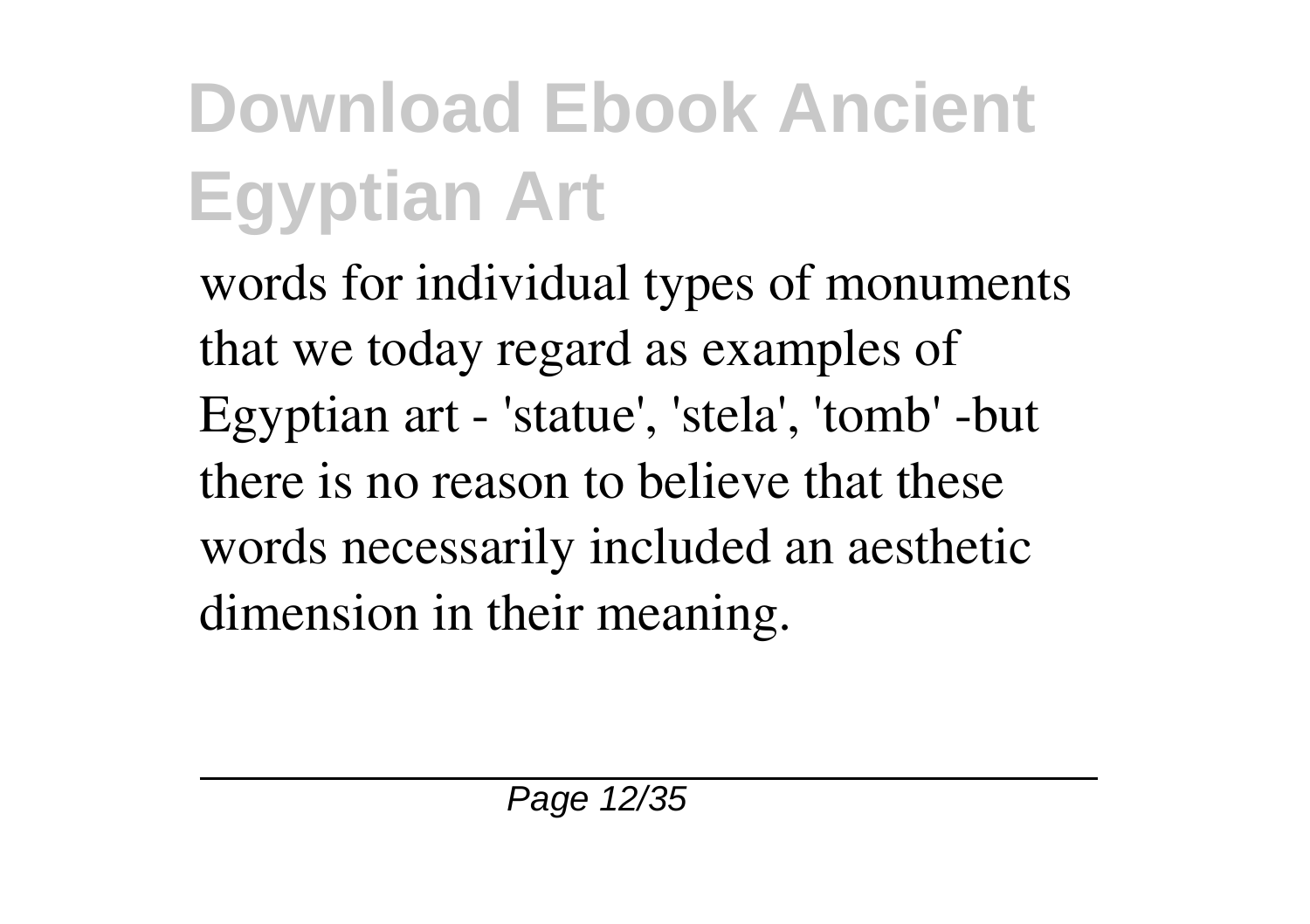words for individual types of monuments that we today regard as examples of Egyptian art - 'statue', 'stela', 'tomb' -but there is no reason to believe that these words necessarily included an aesthetic dimension in their meaning.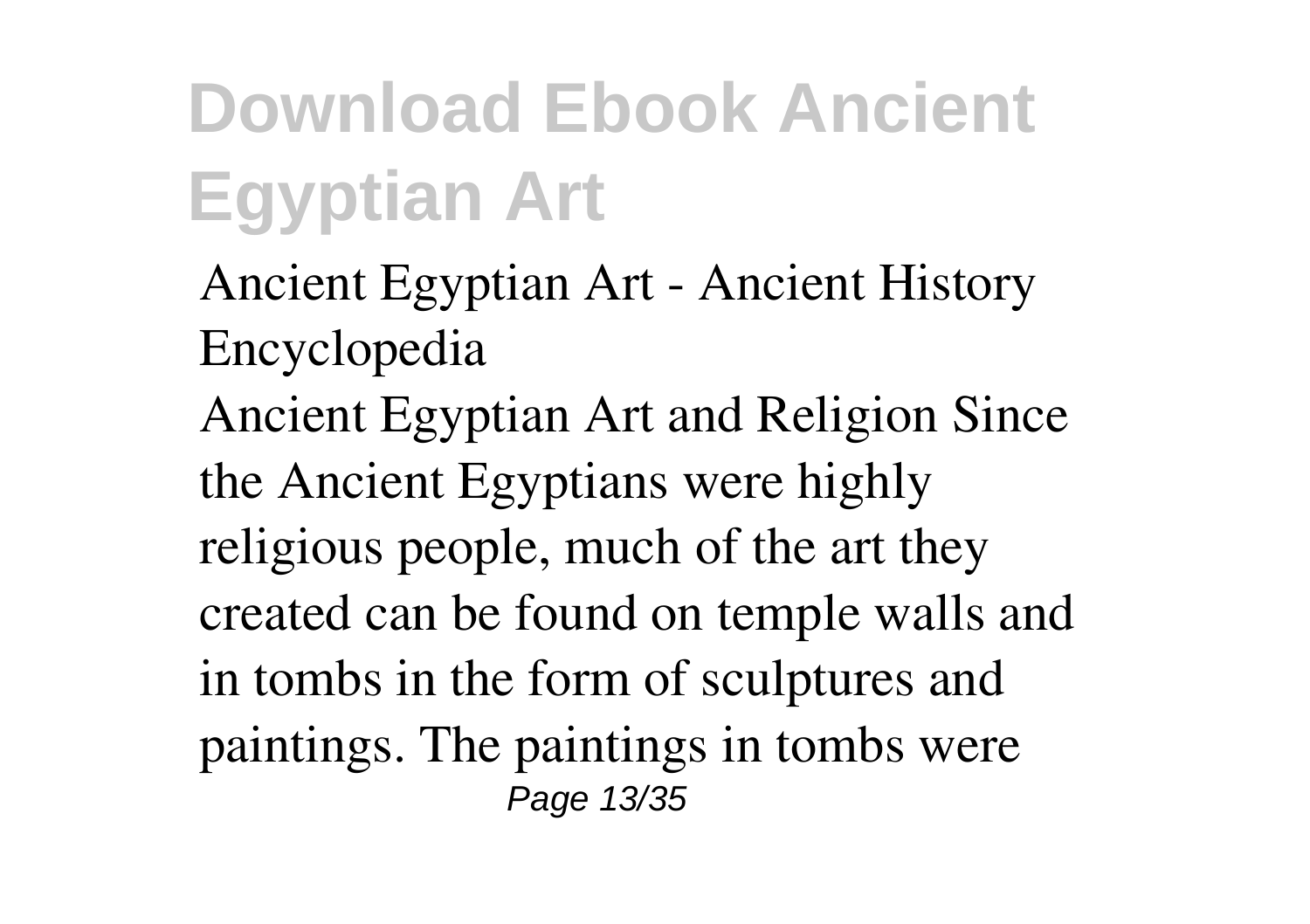Ancient Egyptian Art - Ancient History Encyclopedia Ancient Egyptian Art and Religion Since the Ancient Egyptians were highly religious people, much of the art they created can be found on temple walls and in tombs in the form of sculptures and paintings. The paintings in tombs were Page 13/35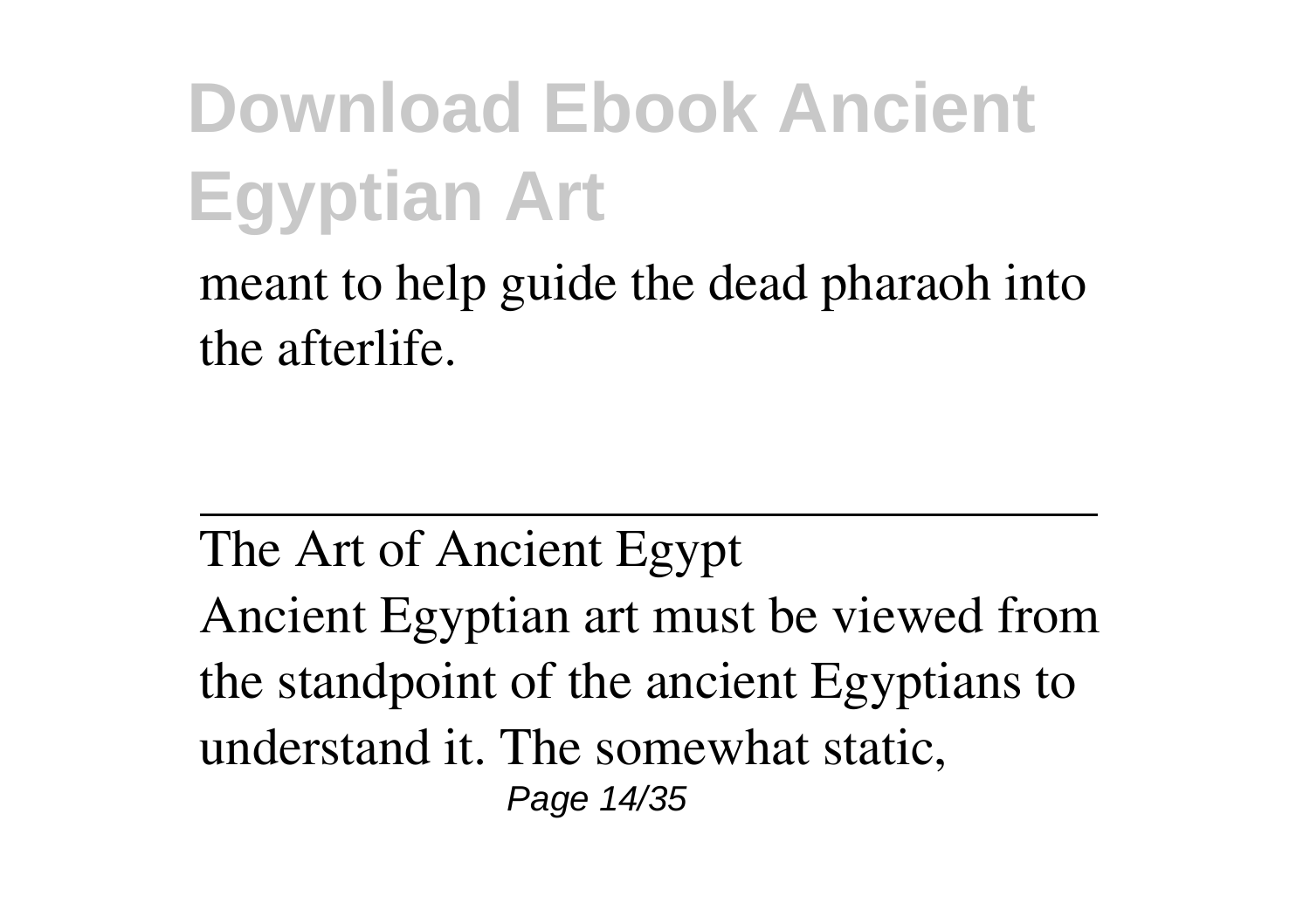meant to help guide the dead pharaoh into the afterlife.

The Art of Ancient Egypt Ancient Egyptian art must be viewed from the standpoint of the ancient Egyptians to understand it. The somewhat static, Page 14/35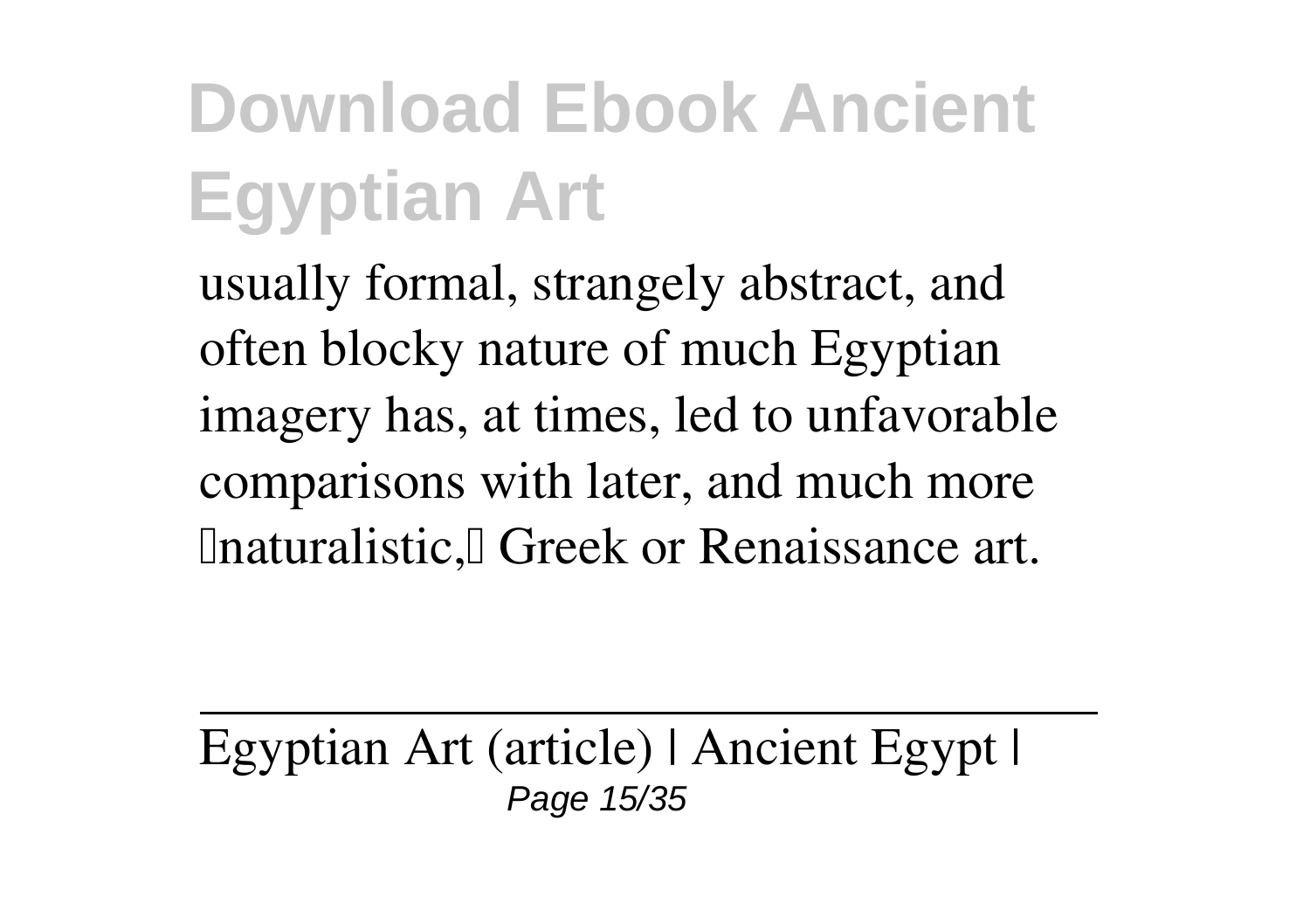usually formal, strangely abstract, and often blocky nature of much Egyptian imagery has, at times, led to unfavorable comparisons with later, and much more **Inaturalistic, Greek or Renaissance art.** 

Egyptian Art (article) | Ancient Egypt | Page 15/35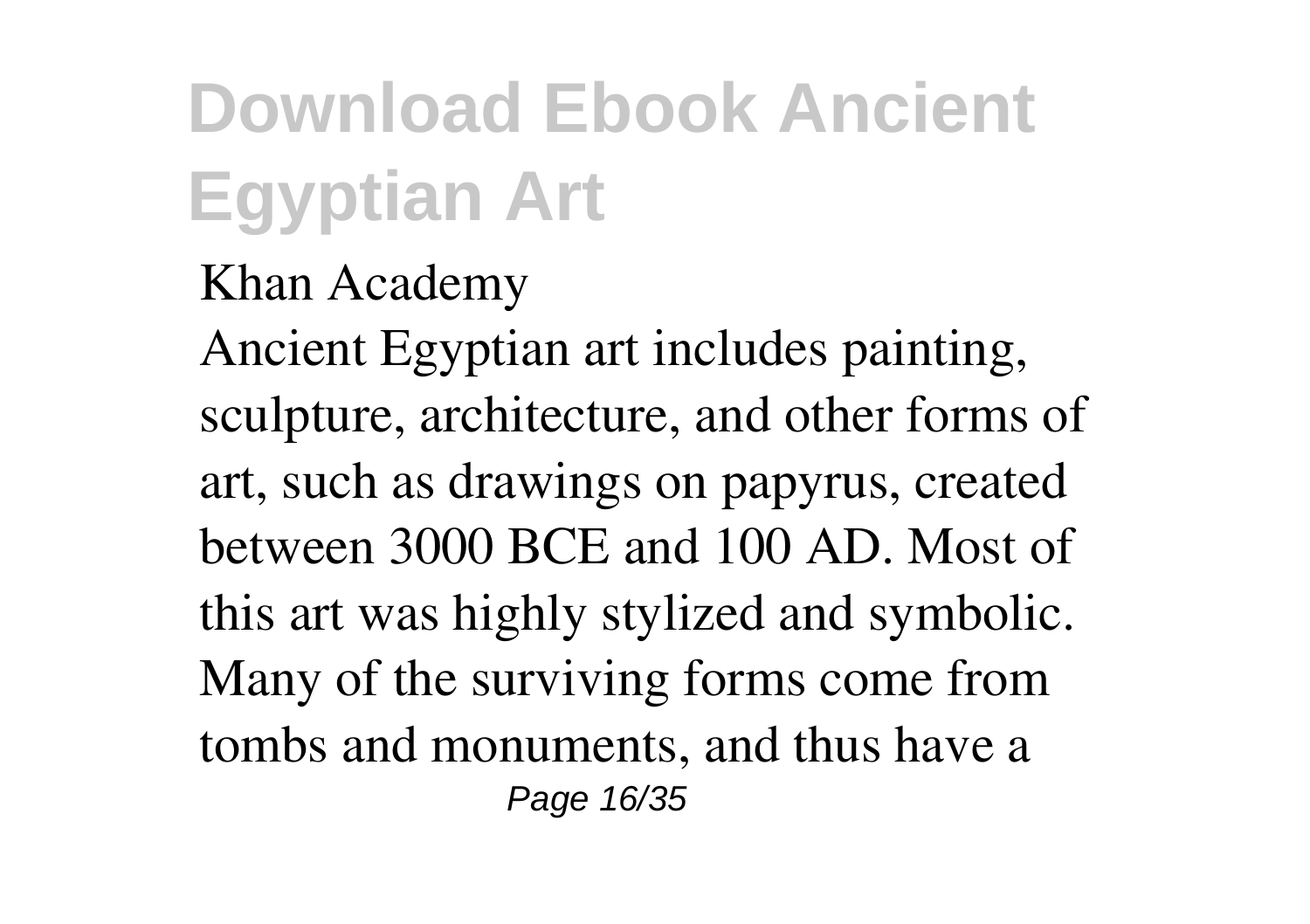#### Khan Academy

Ancient Egyptian art includes painting, sculpture, architecture, and other forms of art, such as drawings on papyrus, created between 3000 BCE and 100 AD. Most of this art was highly stylized and symbolic. Many of the surviving forms come from tombs and monuments, and thus have a Page 16/35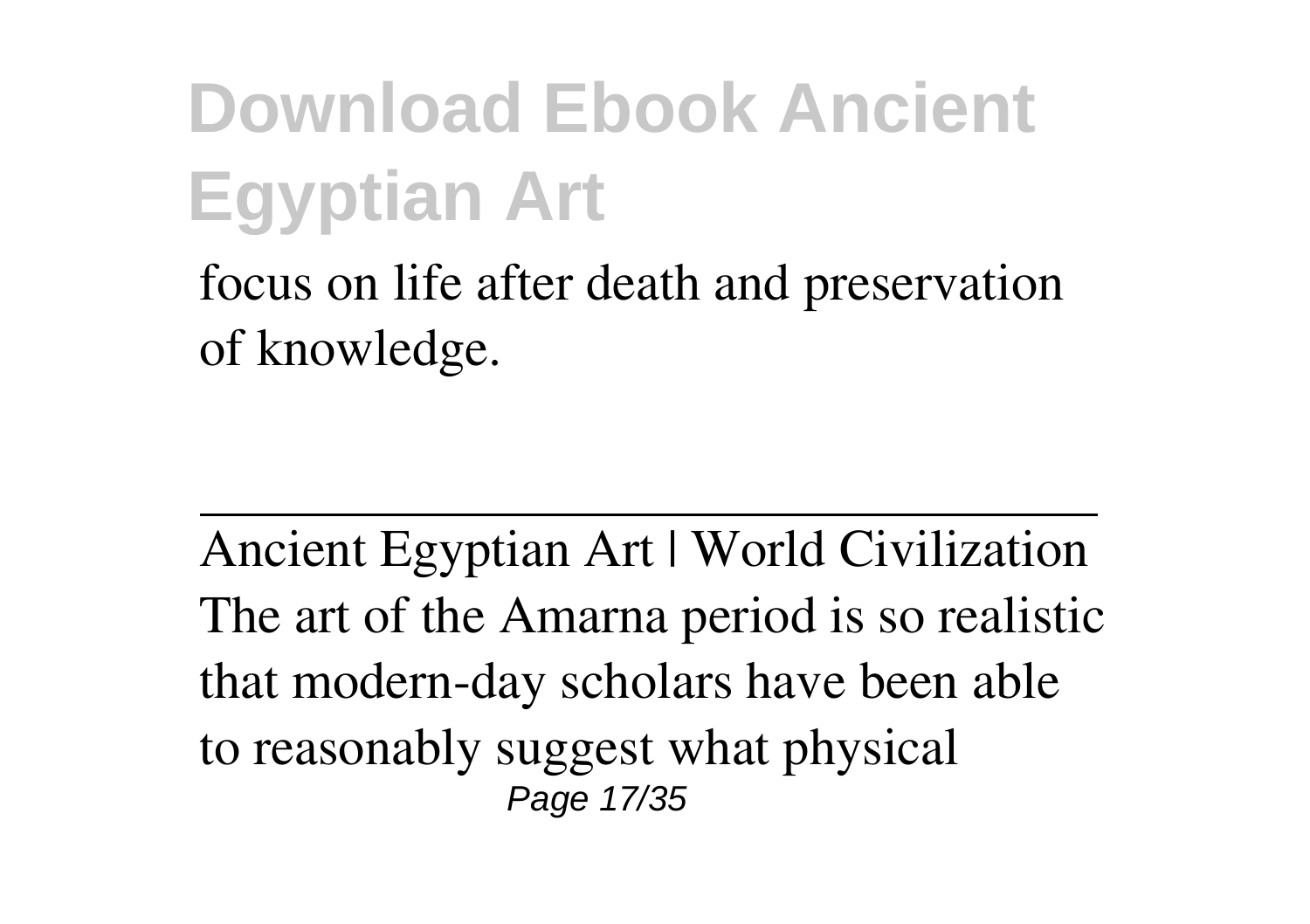focus on life after death and preservation of knowledge.

Ancient Egyptian Art | World Civilization The art of the Amarna period is so realistic that modern-day scholars have been able to reasonably suggest what physical Page 17/35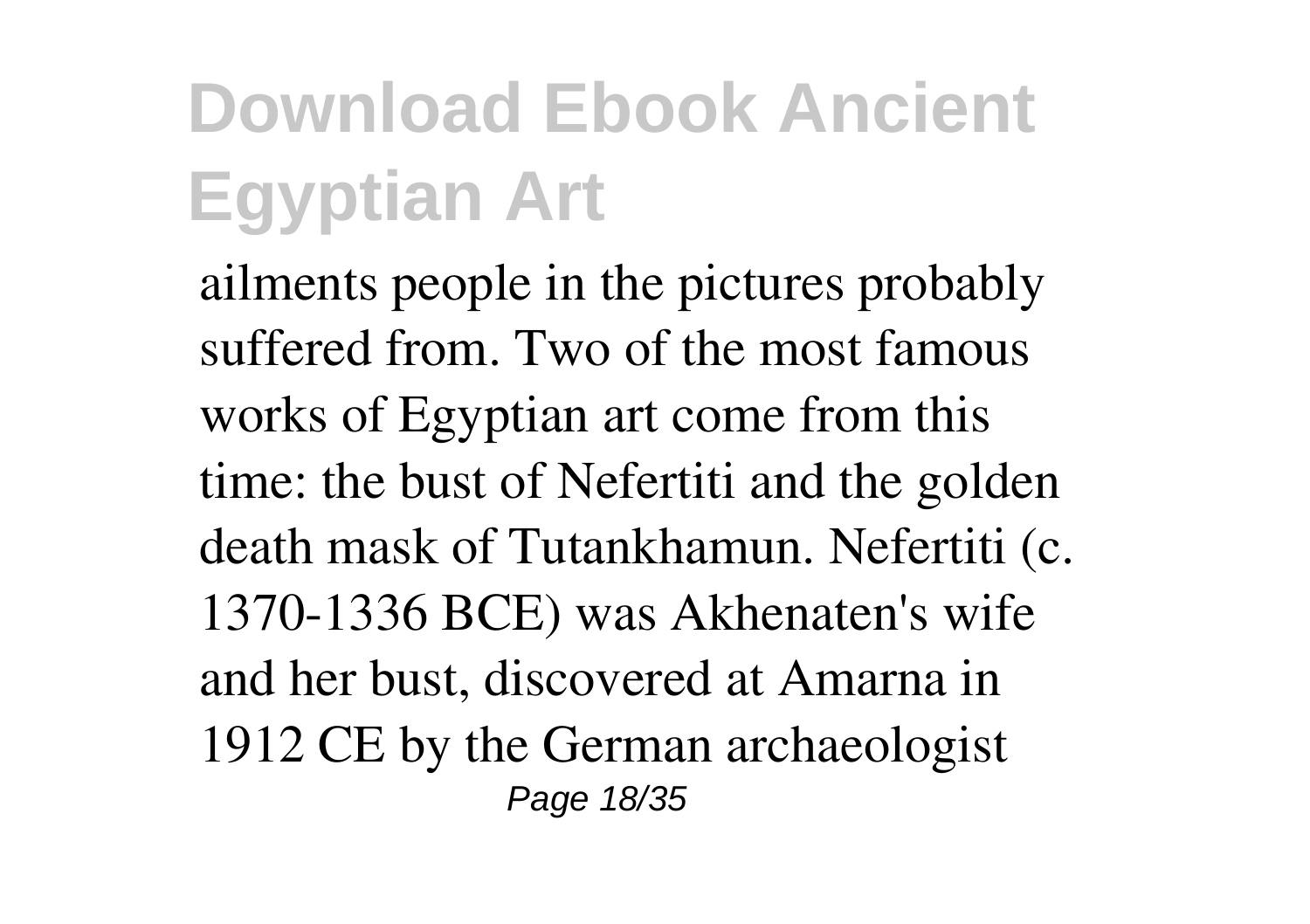ailments people in the pictures probably suffered from. Two of the most famous works of Egyptian art come from this time: the bust of Nefertiti and the golden death mask of Tutankhamun. Nefertiti (c. 1370-1336 BCE) was Akhenaten's wife and her bust, discovered at Amarna in 1912 CE by the German archaeologist Page 18/35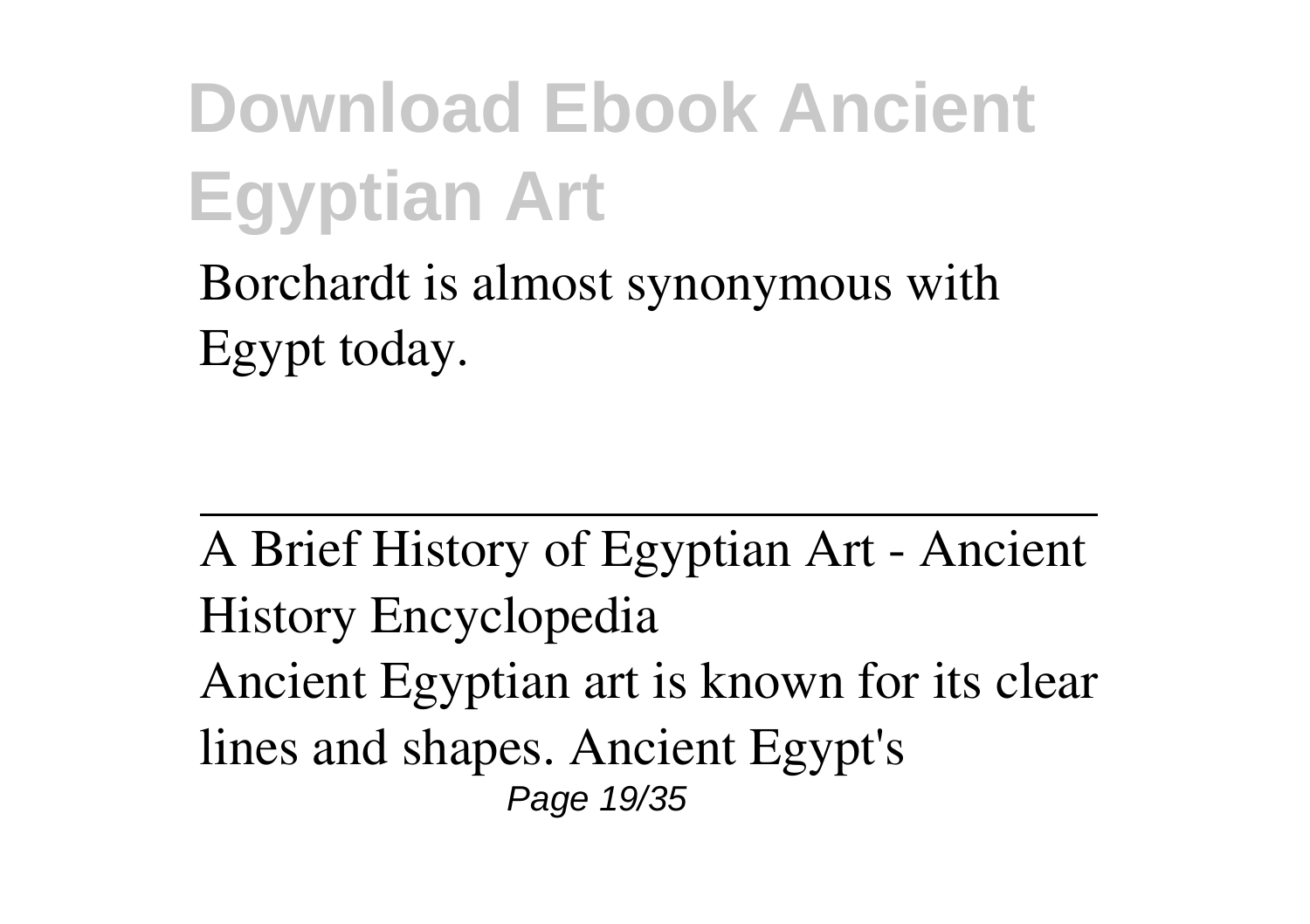Borchardt is almost synonymous with Egypt today.

A Brief History of Egyptian Art - Ancient History Encyclopedia Ancient Egyptian art is known for its clear lines and shapes. Ancient Egypt's Page 19/35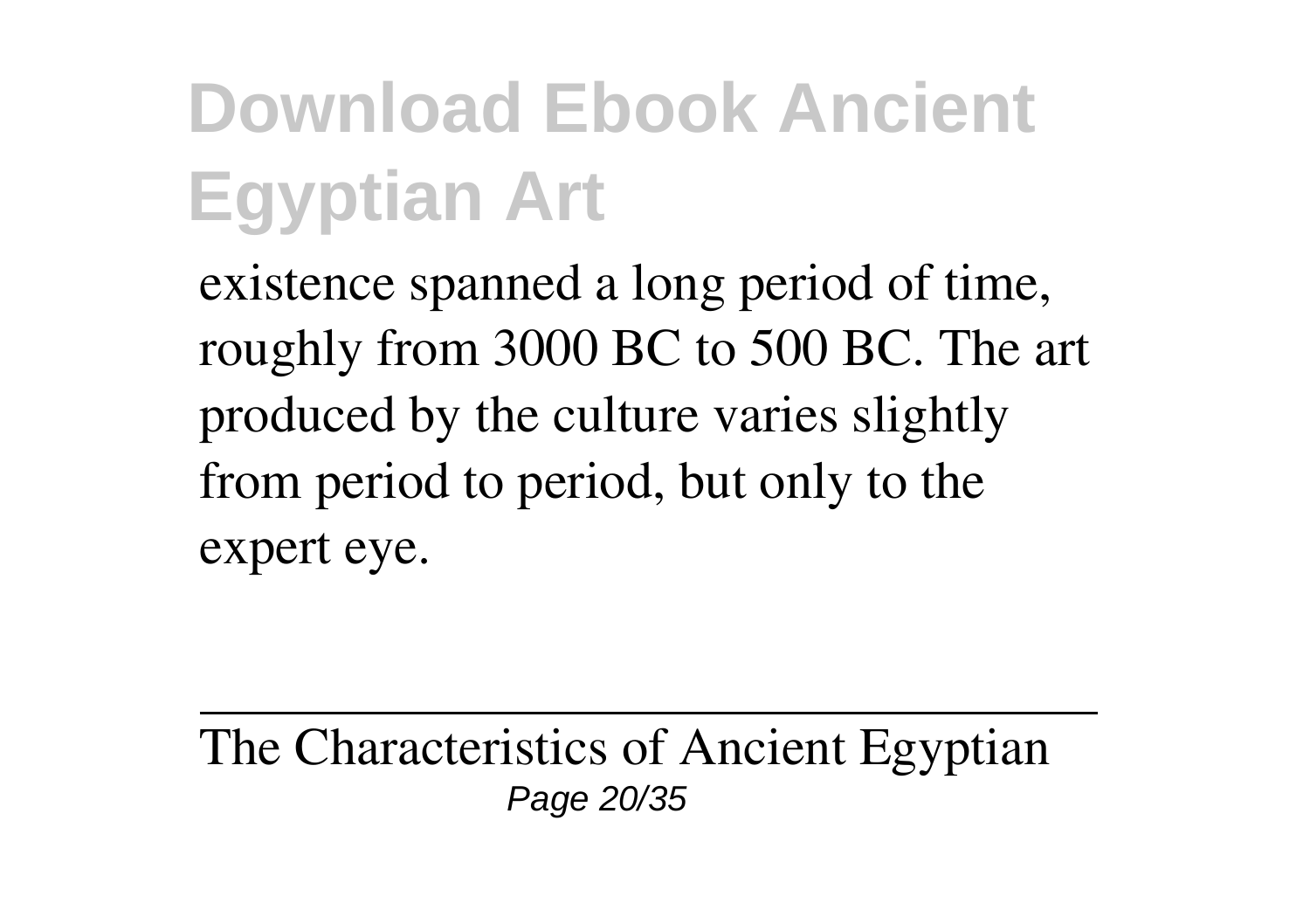existence spanned a long period of time, roughly from 3000 BC to 500 BC. The art produced by the culture varies slightly from period to period, but only to the expert eye.

The Characteristics of Ancient Egyptian Page 20/35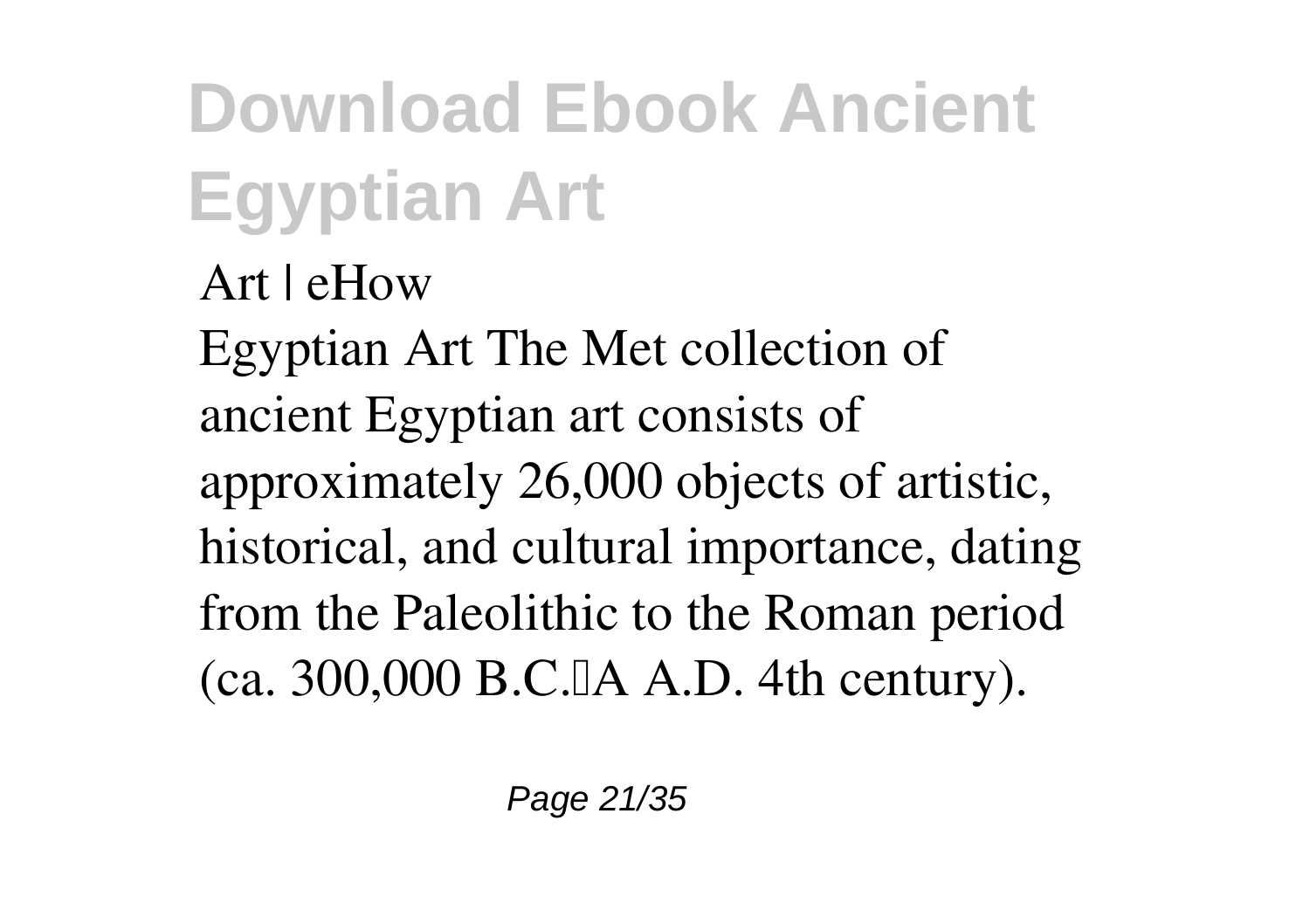Art | eHow

Egyptian Art The Met collection of ancient Egyptian art consists of approximately 26,000 objects of artistic, historical, and cultural importance, dating from the Paleolithic to the Roman period  $(ca. 300,000 B.C.IA A.D. 4th century).$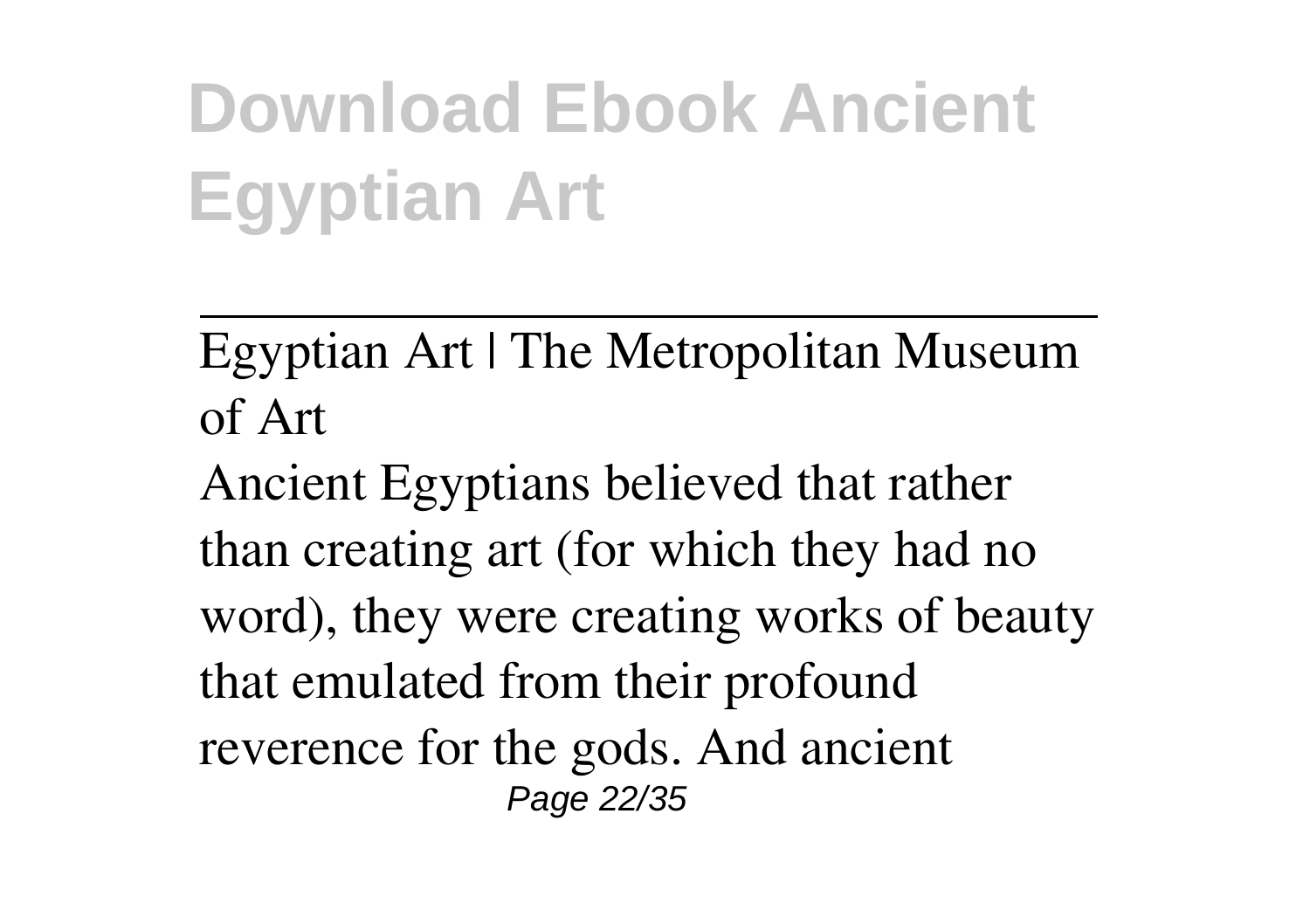Egyptian Art | The Metropolitan Museum of Art

Ancient Egyptians believed that rather than creating art (for which they had no word), they were creating works of beauty that emulated from their profound reverence for the gods. And ancient Page 22/35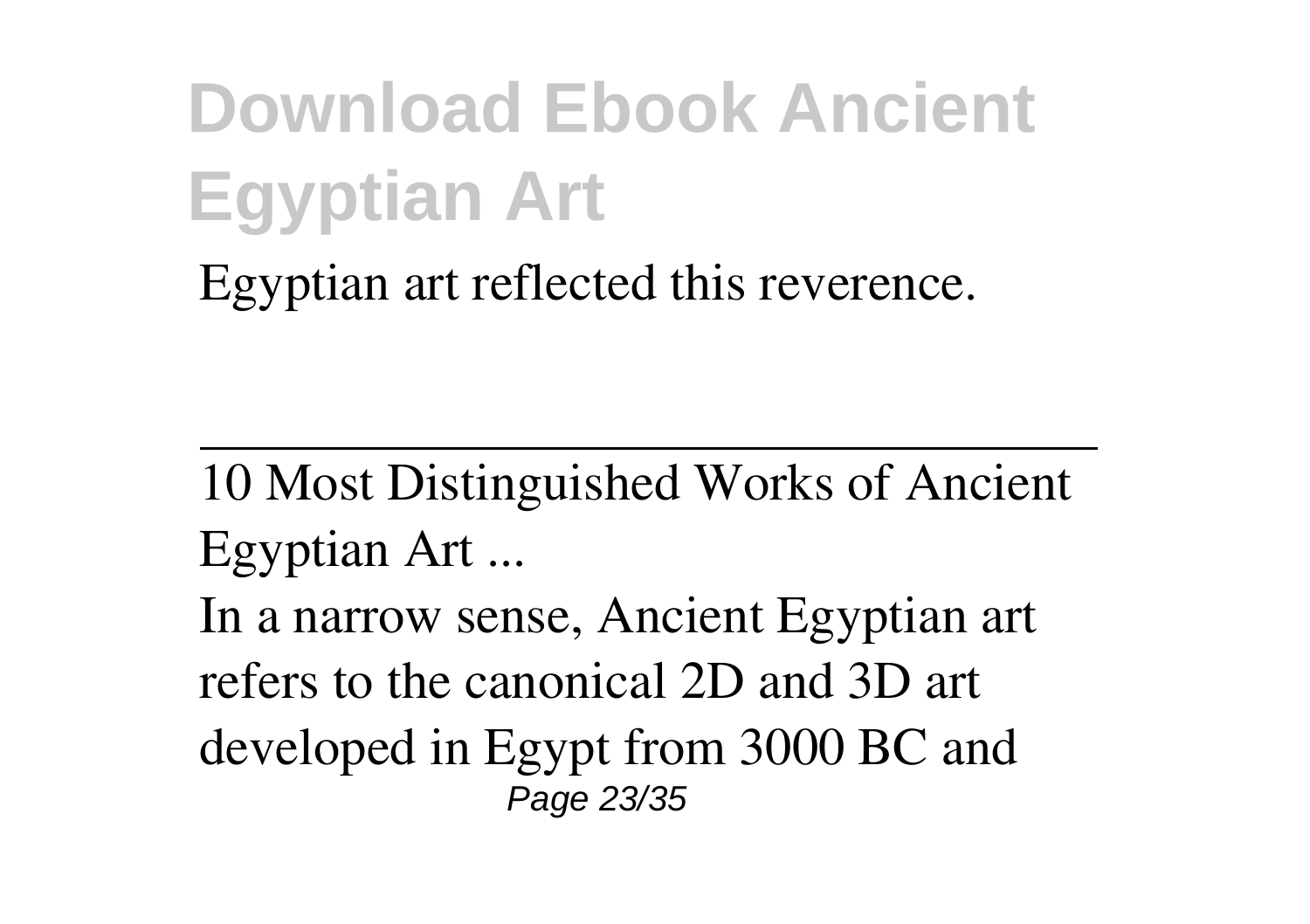Egyptian art reflected this reverence.

10 Most Distinguished Works of Ancient Egyptian Art ... In a narrow sense, Ancient Egyptian art refers to the canonical 2D and 3D art developed in Egypt from 3000 BC and Page 23/35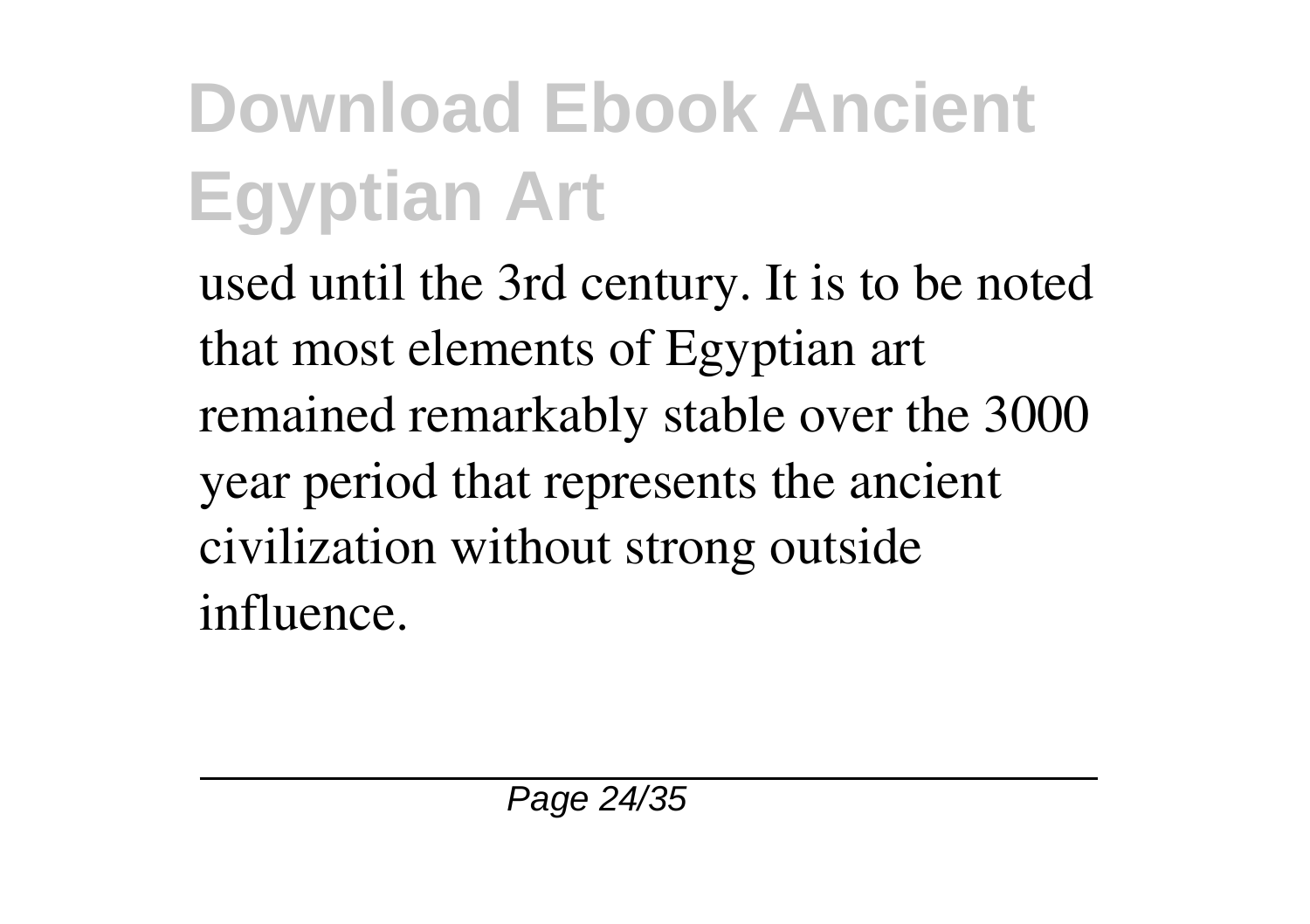used until the 3rd century. It is to be noted that most elements of Egyptian art remained remarkably stable over the 3000 year period that represents the ancient civilization without strong outside influence.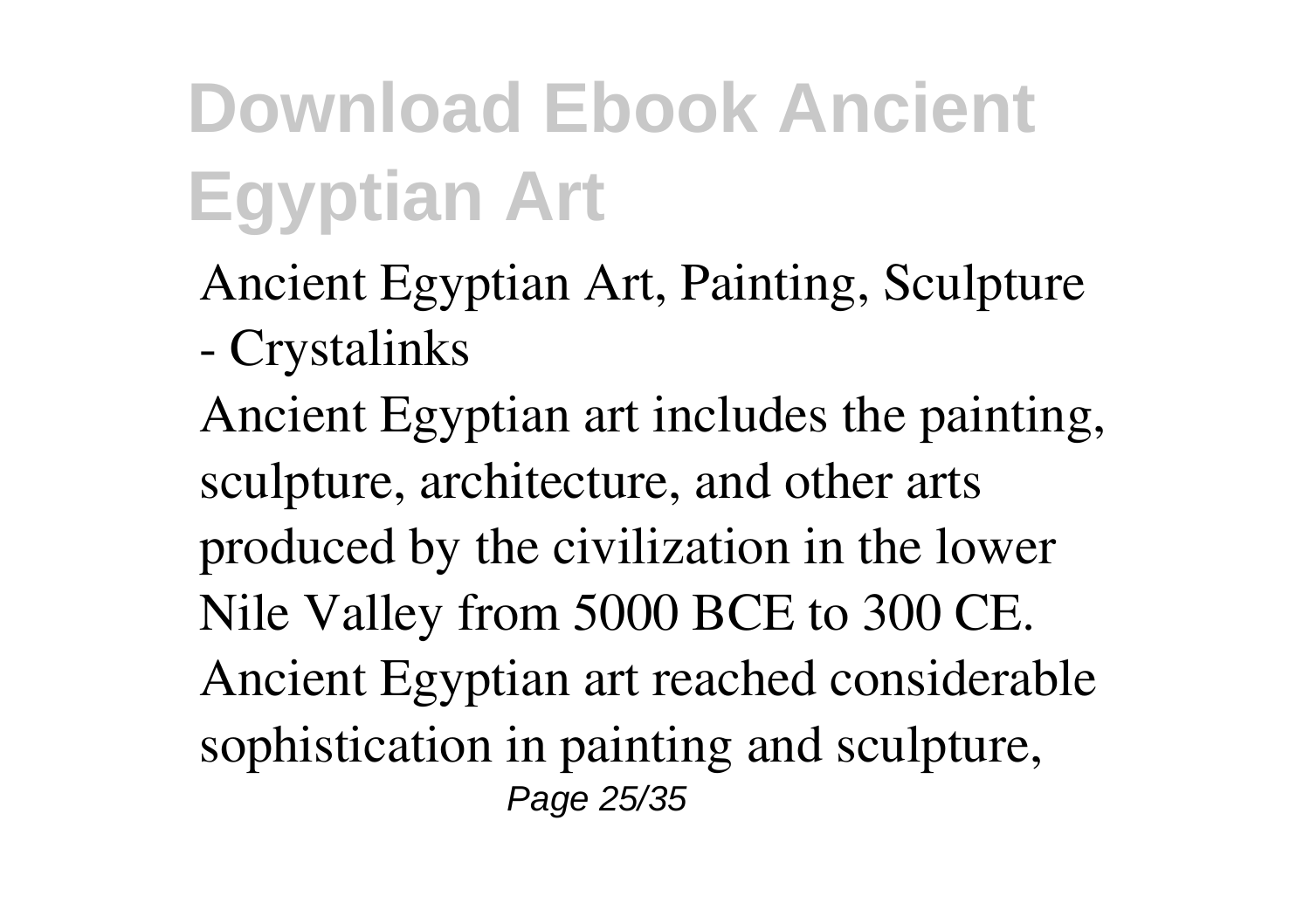Ancient Egyptian Art, Painting, Sculpture - Crystalinks

Ancient Egyptian art includes the painting, sculpture, architecture, and other arts produced by the civilization in the lower Nile Valley from 5000 BCE to 300 CE. Ancient Egyptian art reached considerable sophistication in painting and sculpture, Page 25/35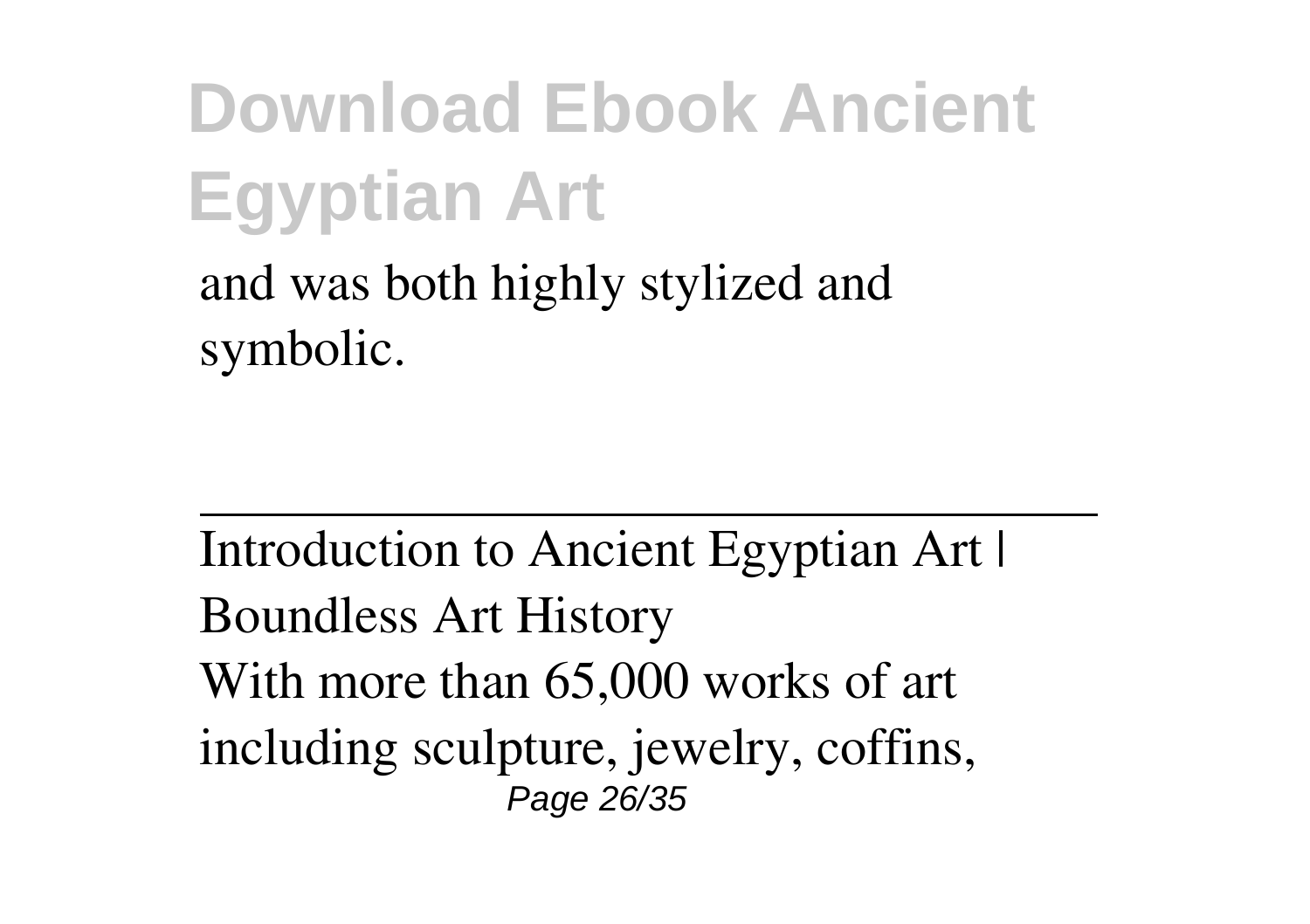and was both highly stylized and symbolic.

Introduction to Ancient Egyptian Art | Boundless Art History With more than 65,000 works of art including sculpture, jewelry, coffins, Page 26/35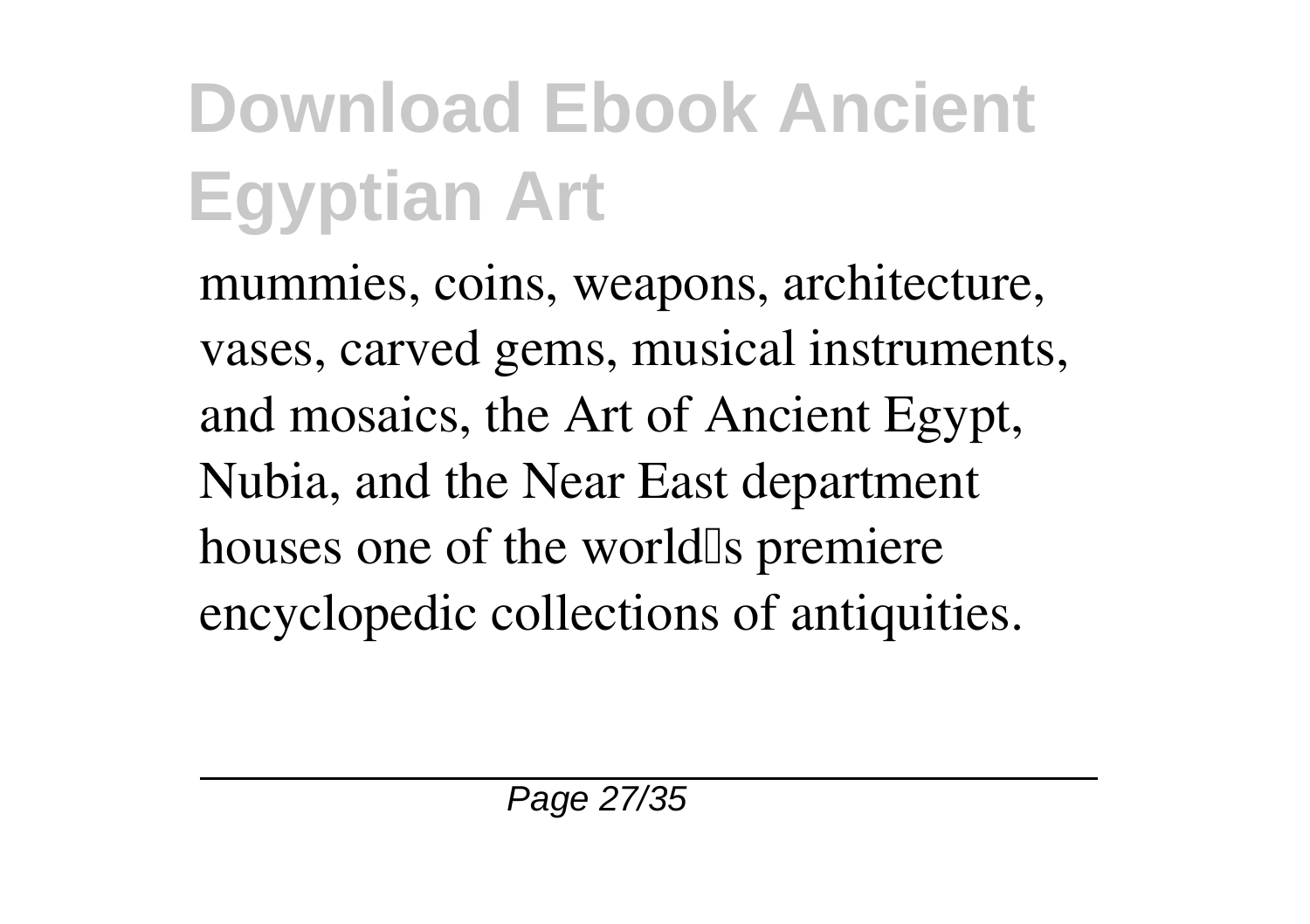mummies, coins, weapons, architecture, vases, carved gems, musical instruments, and mosaics, the Art of Ancient Egypt, Nubia, and the Near East department houses one of the world<sup>Is</sup> premiere encyclopedic collections of antiquities.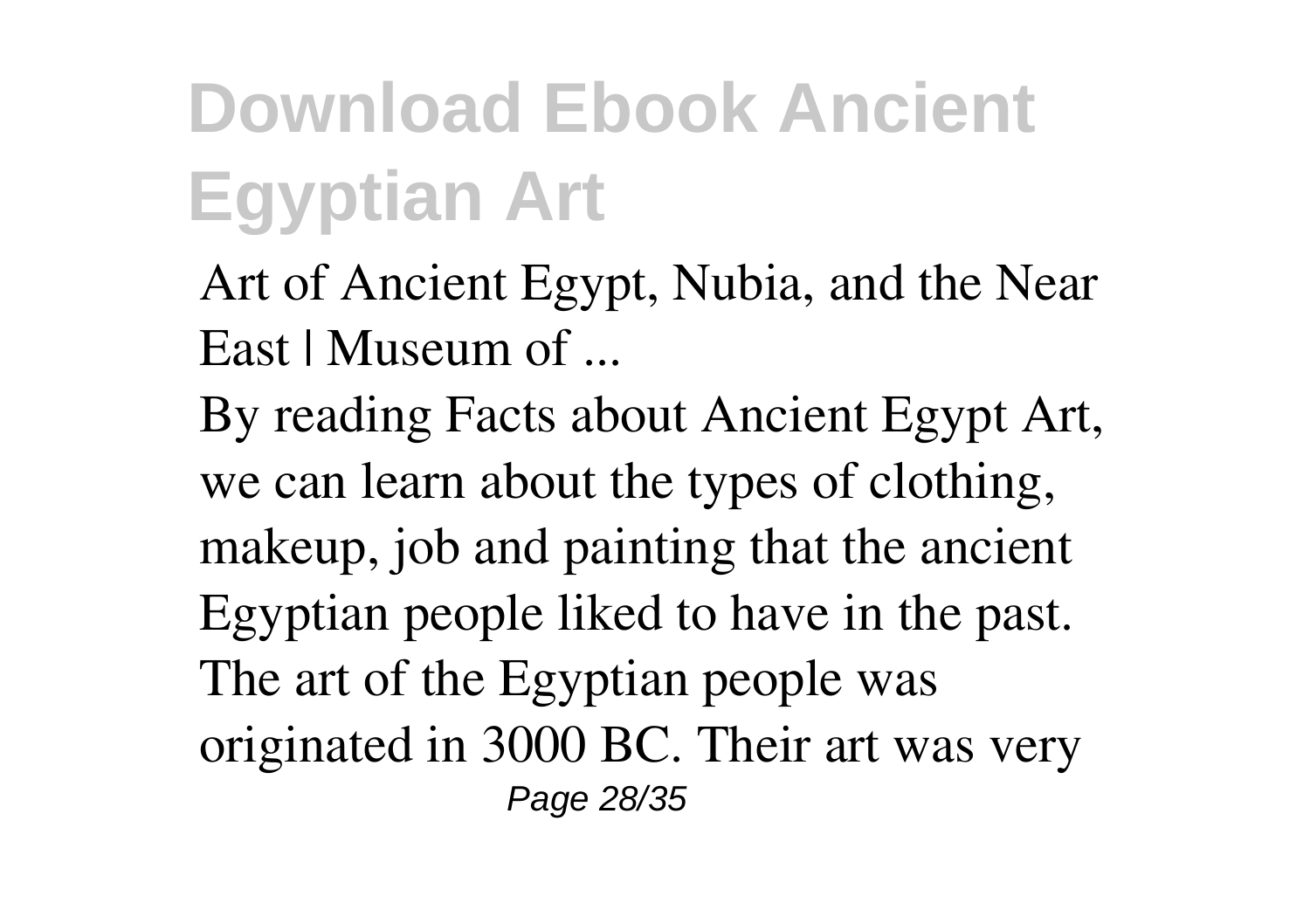- Art of Ancient Egypt, Nubia, and the Near East | Museum of ...
- By reading Facts about Ancient Egypt Art, we can learn about the types of clothing, makeup, job and painting that the ancient Egyptian people liked to have in the past. The art of the Egyptian people was originated in 3000 BC. Their art was very Page 28/35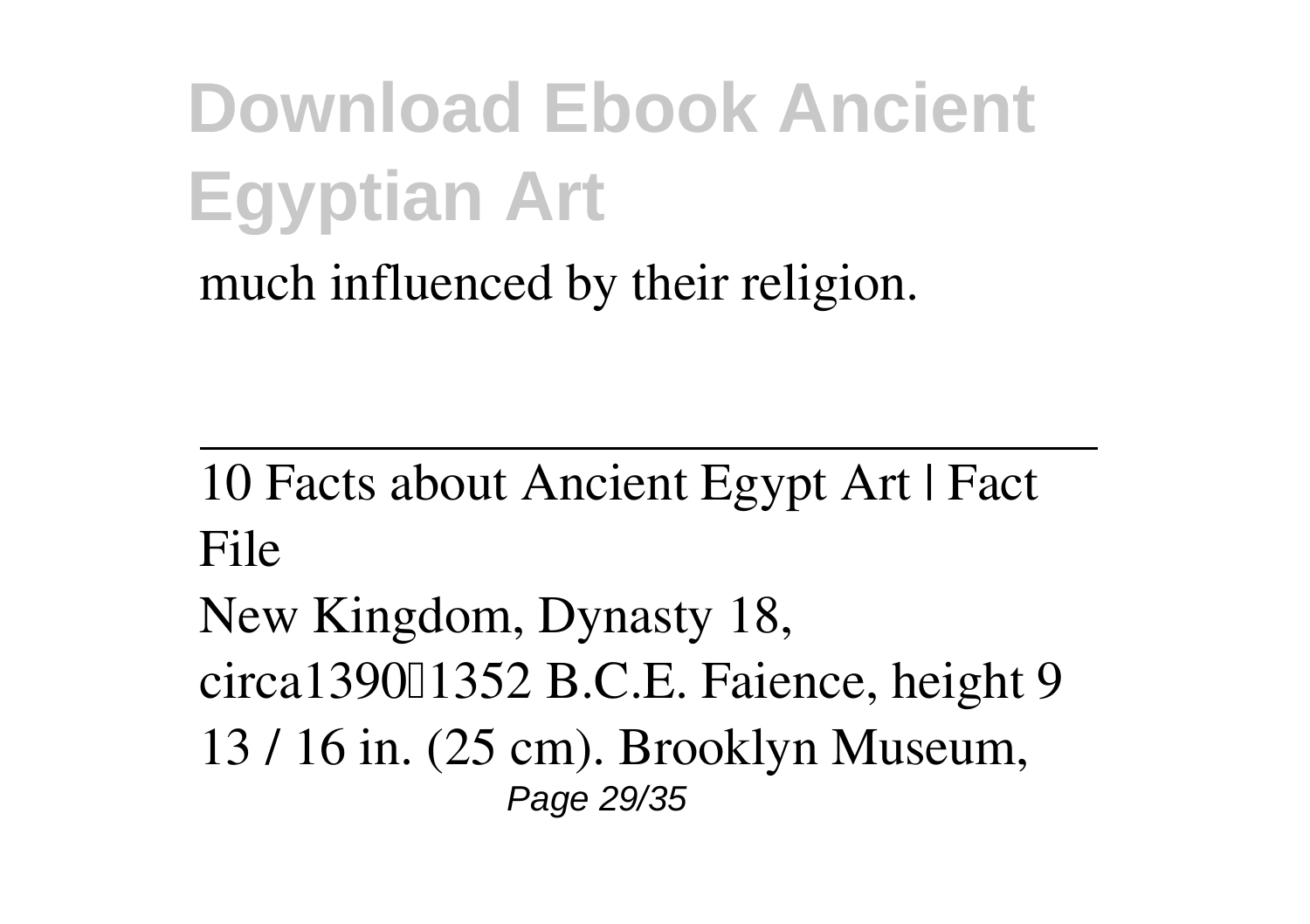much influenced by their religion.

10 Facts about Ancient Egypt Art | Fact File

New Kingdom, Dynasty 18, circa139011352 B.C.E. Faience, height 9 13 / 16 in. (25 cm). Brooklyn Museum, Page 29/35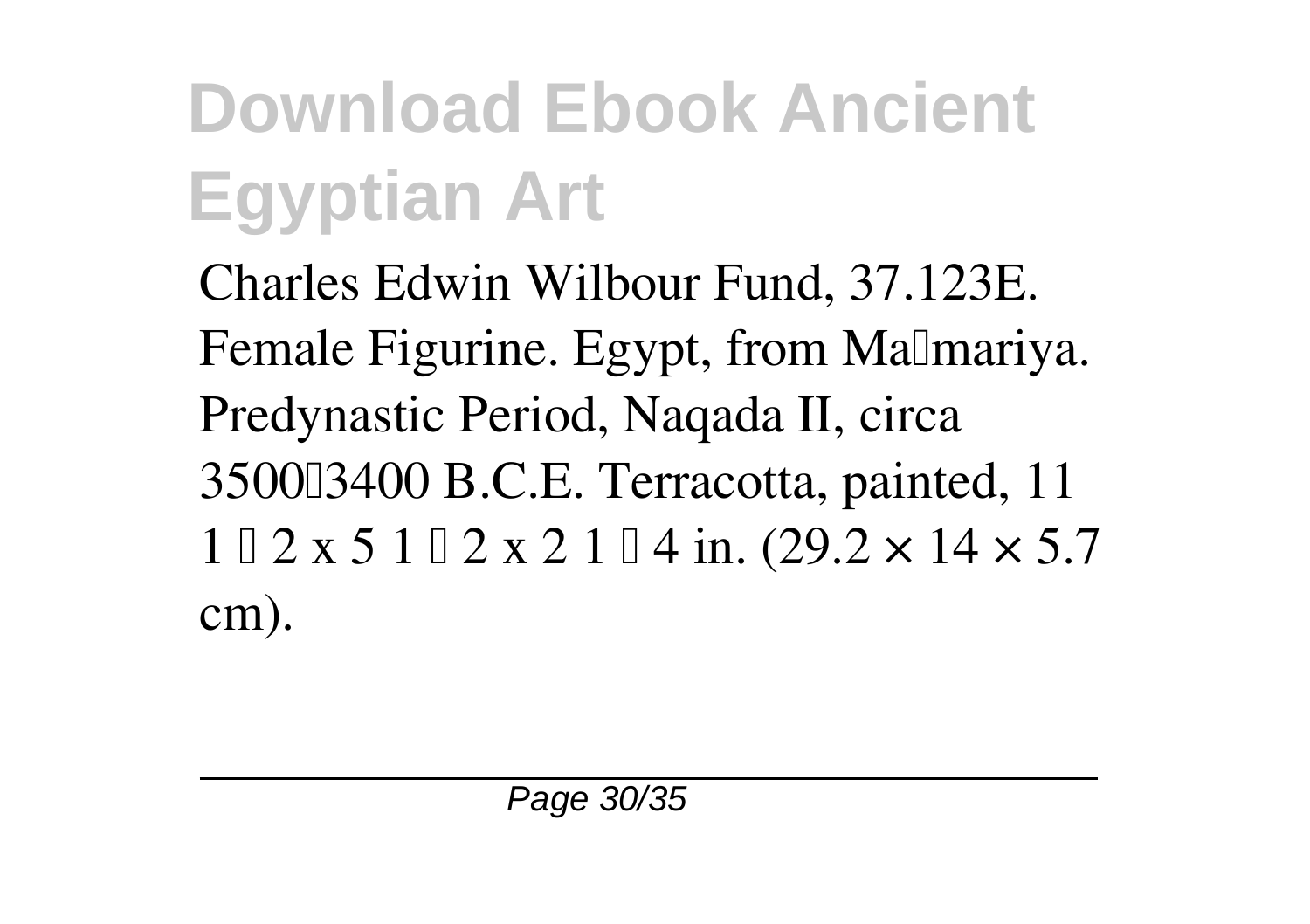Charles Edwin Wilbour Fund, 37.123E. Female Figurine. Egypt, from Malmariya. Predynastic Period, Naqada II, circa 350003400 B.C.E. Terracotta, painted, 11  $1 \cup 2 \times 5$  1  $\cup 2 \times 2$  1  $\cup$  4 in. (29.2  $\times$  14  $\times$  5.7 cm).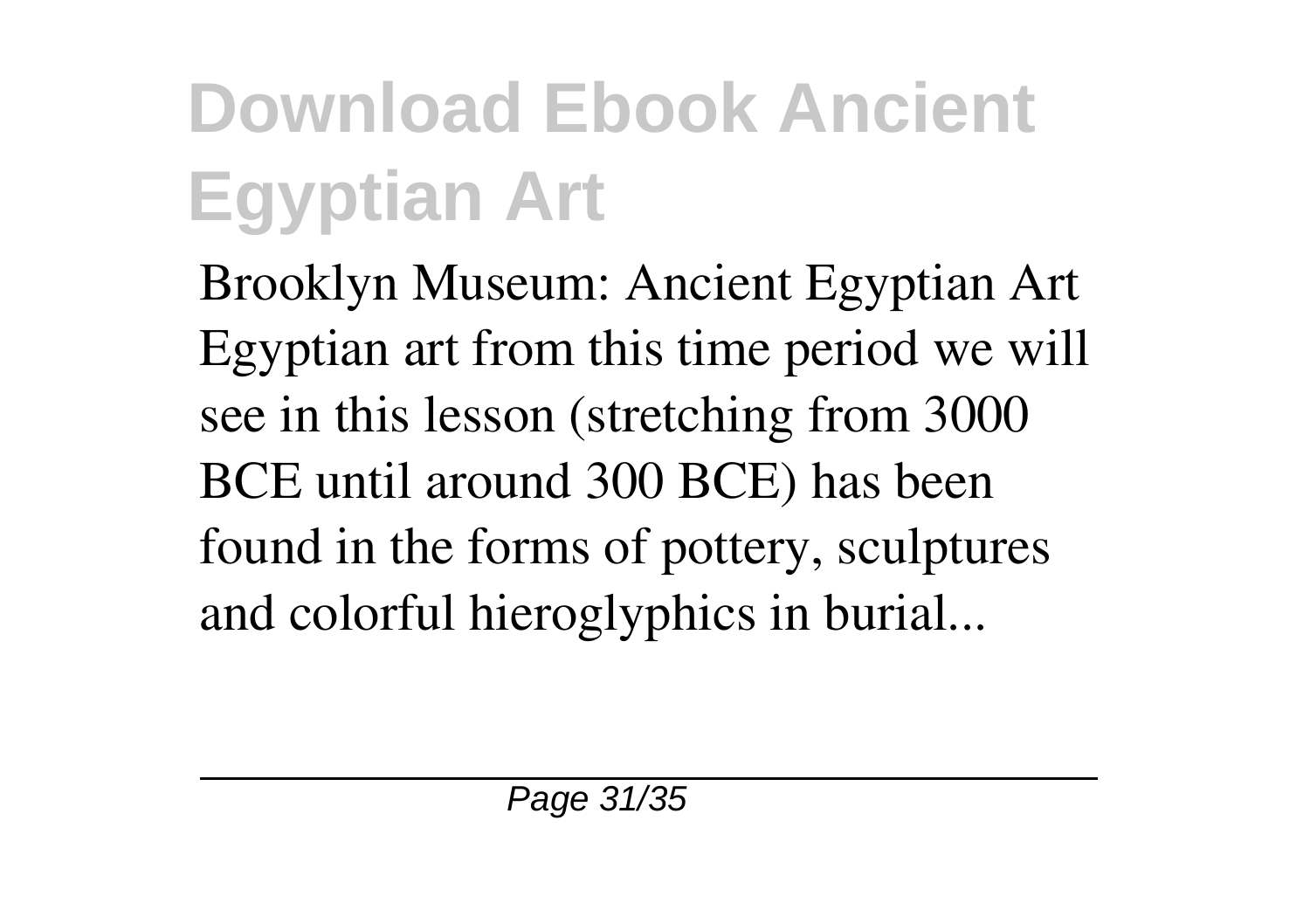Brooklyn Museum: Ancient Egyptian Art Egyptian art from this time period we will see in this lesson (stretching from 3000 BCE until around 300 BCE) has been found in the forms of pottery, sculptures and colorful hieroglyphics in burial...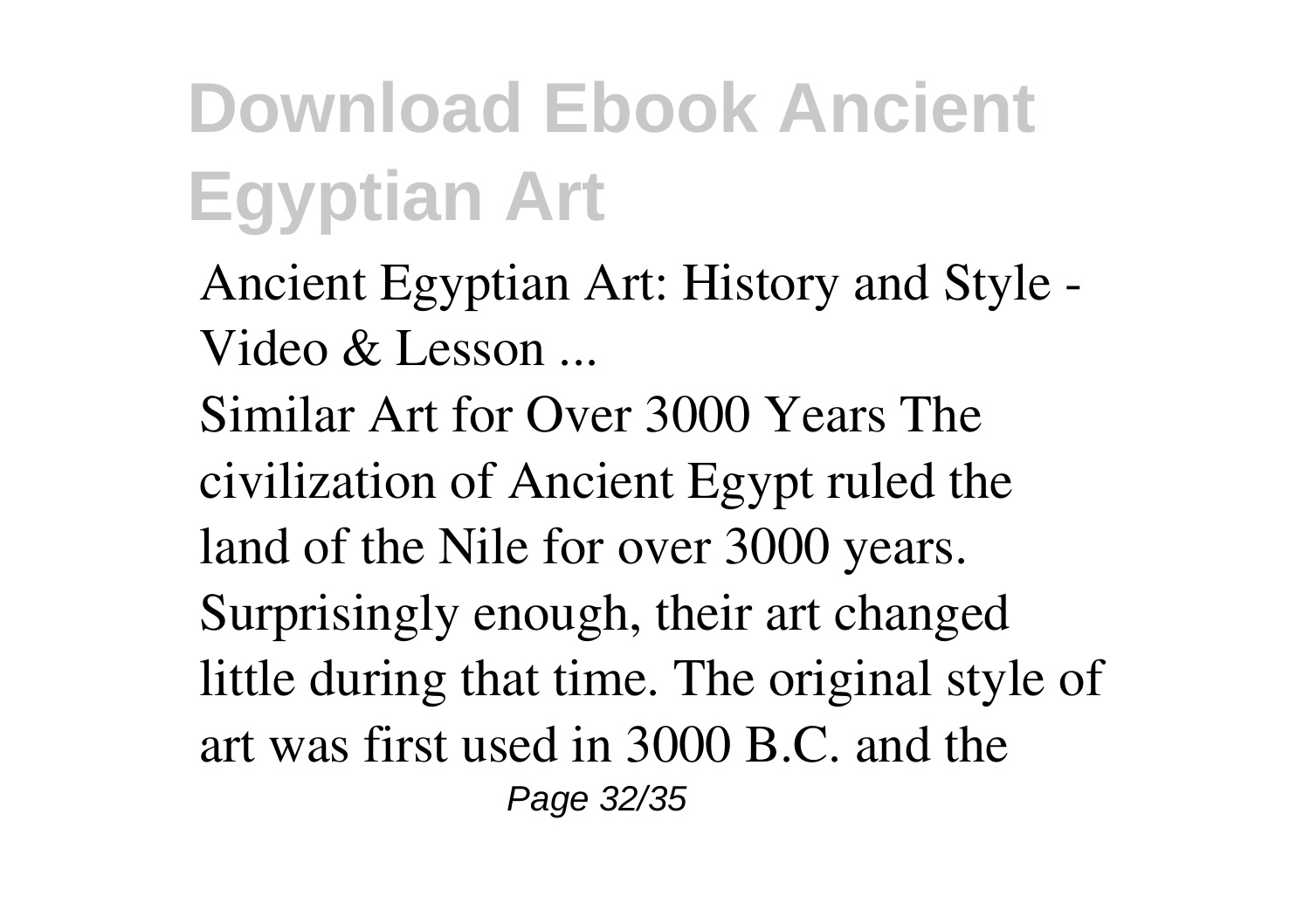- Ancient Egyptian Art: History and Style Video & Lesson ...
- Similar Art for Over 3000 Years The civilization of Ancient Egypt ruled the land of the Nile for over 3000 years. Surprisingly enough, their art changed little during that time. The original style of art was first used in 3000 B.C. and the Page 32/35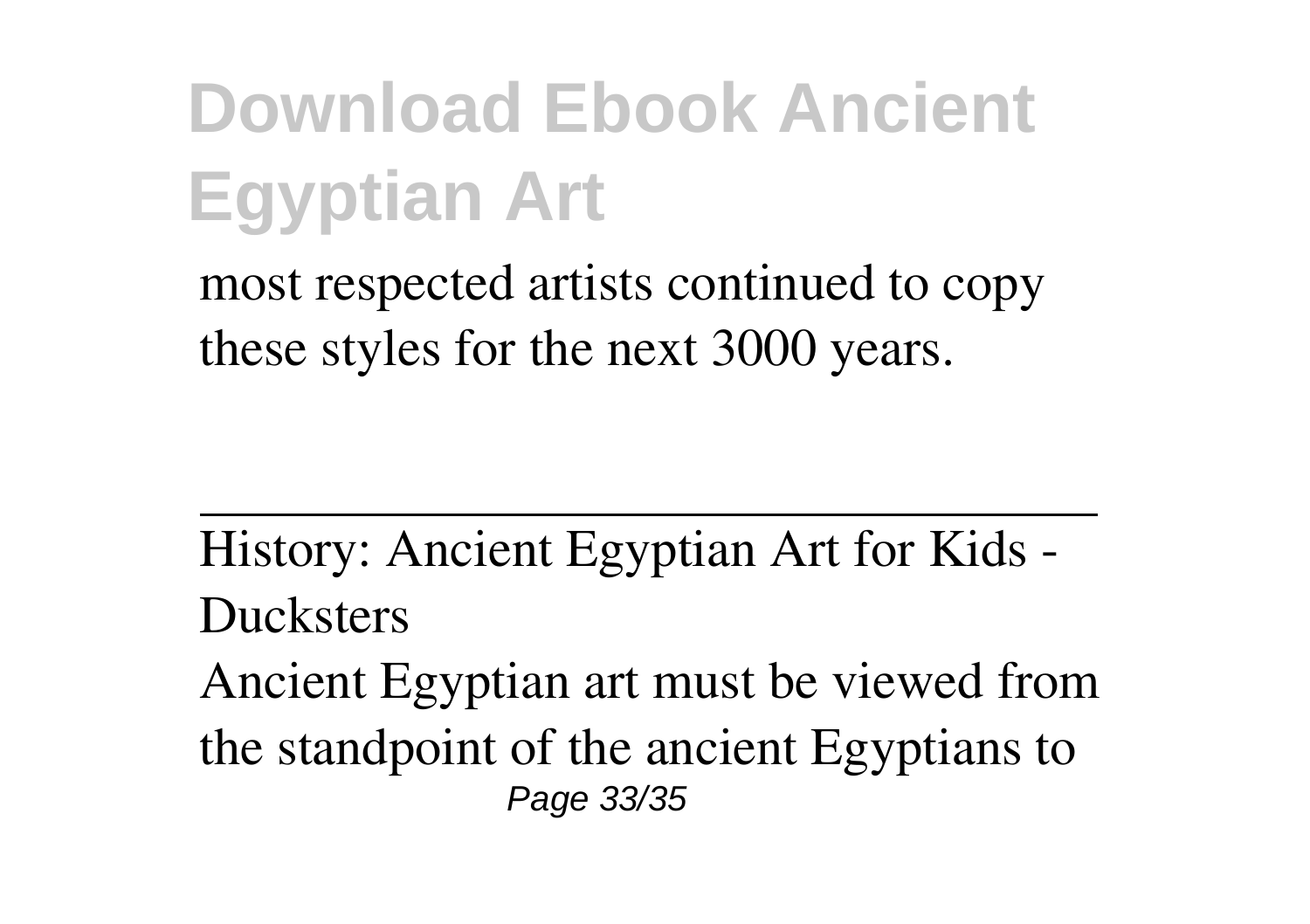most respected artists continued to copy these styles for the next 3000 years.

History: Ancient Egyptian Art for Kids - **Ducksters** 

Ancient Egyptian art must be viewed from the standpoint of the ancient Egyptians to Page 33/35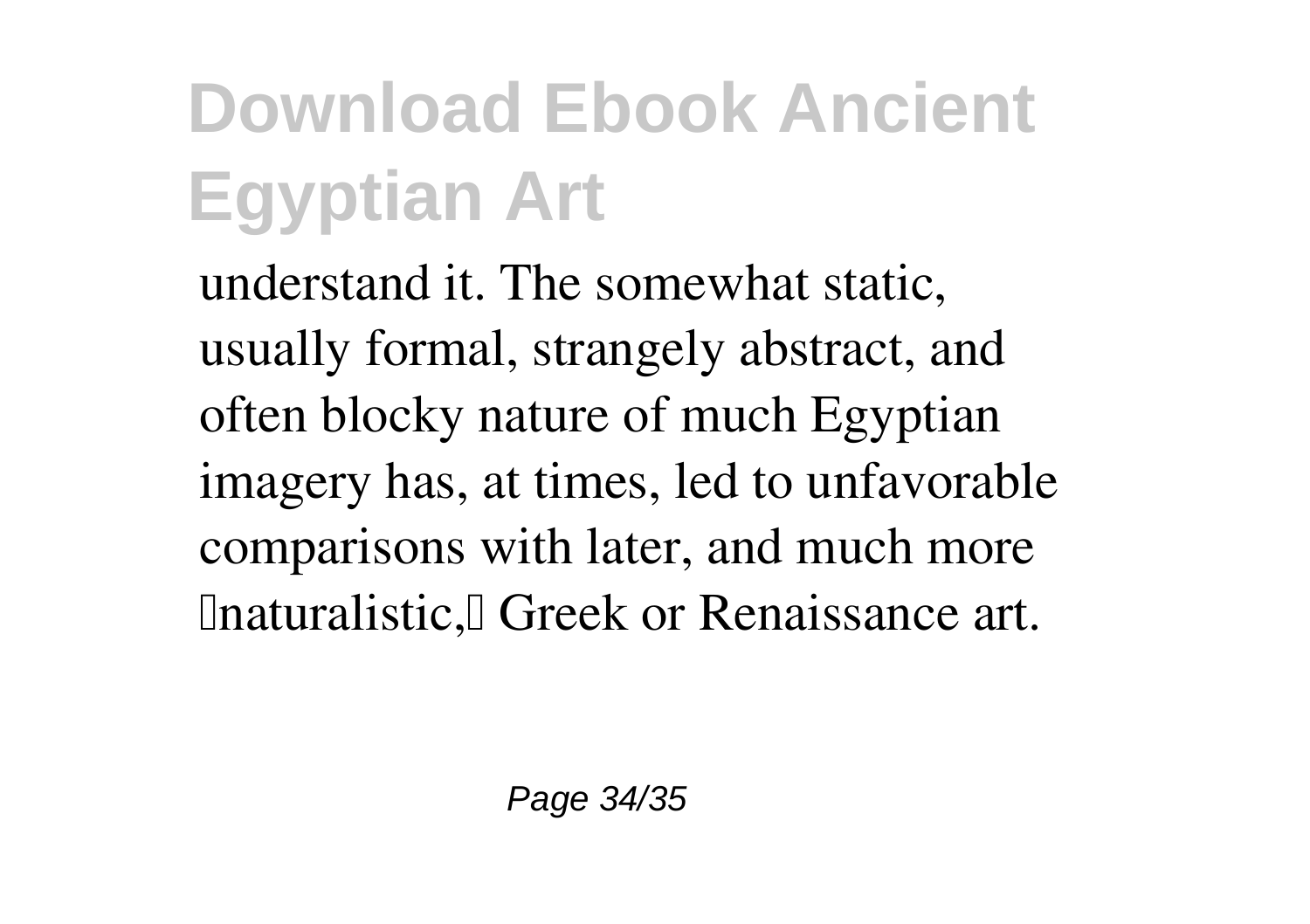understand it. The somewhat static, usually formal, strangely abstract, and often blocky nature of much Egyptian imagery has, at times, led to unfavorable comparisons with later, and much more **Inaturalistic, Greek or Renaissance art.**